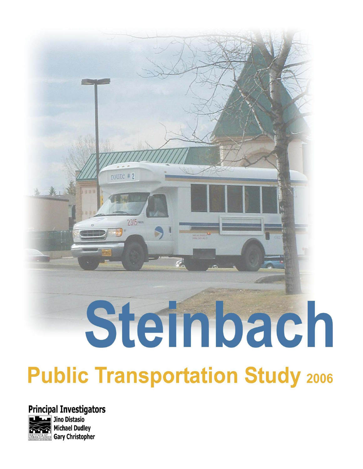# Steinbach

route  $\neq 2$ 

 $2315 -$ 

# **Public Transportation Study 2006**

**Principal Investigators** 



Jino Distasio **Michael Dudley Gary Christopher**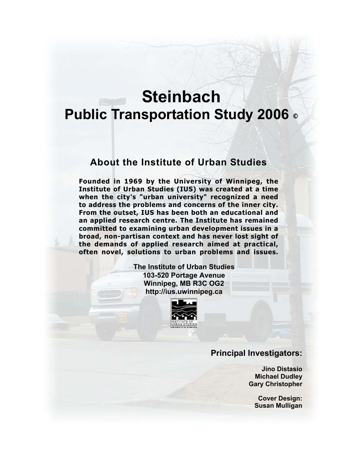## **Steinbach Public Transportation Study 2006** ©

### **About the Institute of Urban Studies**

**Founded in 1969 by the University of Winnipeg, the Institute of Urban Studies (IUS) was created at a time when the city's "urban university" recognized a need to address the problems and concerns of the inner city. From the outset, IUS has been both an educational and an applied research centre. The Institute has remained committed to examining urban development issues in a broad, non-partisan context and has never lost sight of the demands of applied research aimed at practical, often novel, solutions to urban problems and issues.** 

> **The Institute of Urban Studies 103-520 Portage Avenue Winnipeg, MB R3C OG2 http://ius.uwinnipeg.ca**



### **Principal Investigators:**

**Jino Distasio Michael Dudley Gary Christopher** 

**Cover Design: Susan Mulligan**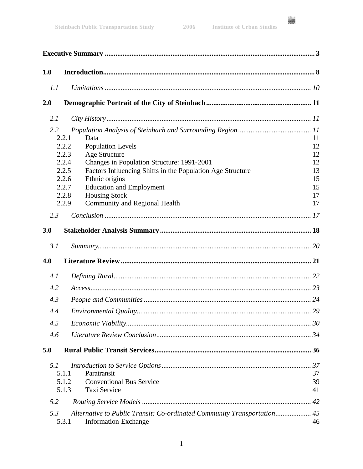

| 1.0                                                               |                                                                                                                 |          |  |  |
|-------------------------------------------------------------------|-----------------------------------------------------------------------------------------------------------------|----------|--|--|
| 1.1                                                               |                                                                                                                 |          |  |  |
| 2.0                                                               |                                                                                                                 |          |  |  |
| 2.1                                                               |                                                                                                                 |          |  |  |
| 2.2                                                               |                                                                                                                 |          |  |  |
|                                                                   | 2.2.1<br>Data                                                                                                   | 11       |  |  |
|                                                                   | 2.2.2<br><b>Population Levels</b><br>2.2.3                                                                      | 12<br>12 |  |  |
|                                                                   | Age Structure<br>2.2.4<br>Changes in Population Structure: 1991-2001                                            | 12       |  |  |
|                                                                   | 2.2.5<br>Factors Influencing Shifts in the Population Age Structure                                             | 13       |  |  |
|                                                                   | 2.2.6<br>Ethnic origins                                                                                         | 15       |  |  |
|                                                                   | 2.2.7<br><b>Education and Employment</b>                                                                        | 15       |  |  |
|                                                                   | 2.2.8<br><b>Housing Stock</b><br><b>Community and Regional Health</b><br>2.2.9                                  | 17<br>17 |  |  |
| 2.3                                                               |                                                                                                                 |          |  |  |
| 3.0                                                               |                                                                                                                 |          |  |  |
| 3.1                                                               |                                                                                                                 |          |  |  |
| 4.0                                                               |                                                                                                                 |          |  |  |
| 4.1                                                               |                                                                                                                 |          |  |  |
| 4.2                                                               |                                                                                                                 |          |  |  |
| 4.3                                                               |                                                                                                                 |          |  |  |
| 4.4                                                               |                                                                                                                 |          |  |  |
| 4.5                                                               |                                                                                                                 |          |  |  |
| 4.6                                                               |                                                                                                                 |          |  |  |
| 5.0                                                               |                                                                                                                 |          |  |  |
| 5.1                                                               |                                                                                                                 |          |  |  |
| 5.1.1<br>Paratransit                                              |                                                                                                                 | 37       |  |  |
| <b>Conventional Bus Service</b><br>5.1.2<br>5.1.3<br>Taxi Service |                                                                                                                 | 39<br>41 |  |  |
| 5.2                                                               |                                                                                                                 | 42       |  |  |
| 5.3                                                               | Alternative to Public Transit: Co-ordinated Community Transportation 45<br>5.3.1<br><b>Information Exchange</b> | 46       |  |  |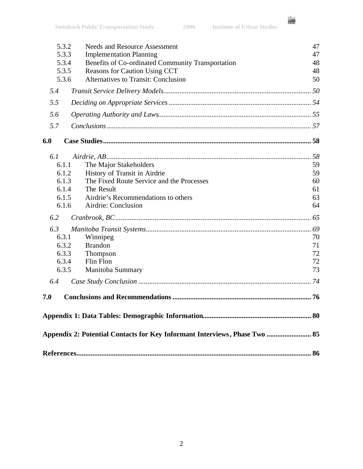

| 5.3.2<br>5.3.3                                                             |       | Needs and Resource Assessment<br><b>Implementation Planning</b> | 47<br>47 |  |  |
|----------------------------------------------------------------------------|-------|-----------------------------------------------------------------|----------|--|--|
| 5.3.4<br>5.3.5                                                             |       | Benefits of Co-ordinated Community Transportation               | 48       |  |  |
|                                                                            |       | Reasons for Caution Using CCT                                   | 48       |  |  |
|                                                                            | 5.3.6 | <b>Alternatives to Transit: Conclusion</b>                      | 50       |  |  |
| 5.4                                                                        |       |                                                                 |          |  |  |
| 5.5                                                                        |       |                                                                 |          |  |  |
| 5.6                                                                        |       |                                                                 |          |  |  |
| 5.7                                                                        |       |                                                                 |          |  |  |
| 6.0                                                                        |       |                                                                 |          |  |  |
| 6.1                                                                        |       |                                                                 |          |  |  |
|                                                                            | 6.1.1 | The Major Stakeholders                                          | 59       |  |  |
| 6.1.2                                                                      |       | History of Transit in Airdrie                                   | 59       |  |  |
|                                                                            | 6.1.3 | The Fixed Route Service and the Processes                       | 60       |  |  |
|                                                                            | 6.1.4 | The Result                                                      | 61       |  |  |
|                                                                            | 6.1.5 | Airdrie's Recommendations to others                             | 63       |  |  |
|                                                                            | 6.1.6 | Airdrie: Conclusion                                             | 64       |  |  |
| 6.2                                                                        |       |                                                                 |          |  |  |
| 6.3                                                                        |       |                                                                 |          |  |  |
|                                                                            | 6.3.1 | Winnipeg                                                        | 70       |  |  |
| 6.3.2                                                                      |       | <b>Brandon</b>                                                  | 71       |  |  |
|                                                                            | 6.3.3 | Thompson                                                        | 72       |  |  |
|                                                                            | 6.3.4 | Flin Flon                                                       | 72       |  |  |
|                                                                            | 6.3.5 | Manitoba Summary                                                | 73       |  |  |
| 6.4                                                                        |       |                                                                 |          |  |  |
| 7.0                                                                        |       |                                                                 |          |  |  |
| Appendix 2: Potential Contacts for Key Informant Interviews, Phase Two  85 |       |                                                                 |          |  |  |
|                                                                            |       |                                                                 |          |  |  |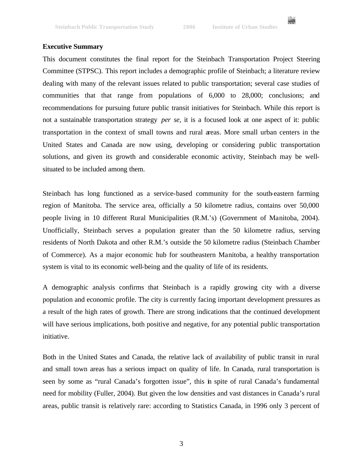

### **Executive Summary**

This document constitutes the final report for the Steinbach Transportation Project Steering Committee (STPSC). This report includes a demographic profile of Steinbach; a literature review dealing with many of the relevant issues related to public transportation; several case studies of communities that that range from populations of 6,000 to 28,000; conclusions; and recommendations for pursuing future public transit initiatives for Steinbach. While this report is not a sustainable transportation strategy *per se*, it is a focused look at one aspect of it: public transportation in the context of small towns and rural areas. More small urban centers in the United States and Canada are now using, developing or considering public transportation solutions, and given its growth and considerable economic activity, Steinbach may be wellsituated to be included among them.

Steinbach has long functioned as a service-based community for the south-eastern farming region of Manitoba. The service area, officially a 50 kilometre radius, contains over 50,000 people living in 10 different Rural Municipalities (R.M.'s) (Government of Manitoba, 2004). Unofficially, Steinbach serves a population greater than the 50 kilometre radius, serving residents of North Dakota and other R.M.'s outside the 50 kilometre radius (Steinbach Chamber of Commerce). As a major economic hub for southeastern Manitoba, a healthy transportation system is vital to its economic well-being and the quality of life of its residents.

A demographic analysis confirms that Steinbach is a rapidly growing city with a diverse population and economic profile. The city is currently facing important development pressures as a result of the high rates of growth. There are strong indications that the continued development will have serious implications, both positive and negative, for any potential public transportation initiative.

Both in the United States and Canada, the relative lack of availability of public transit in rural and small town areas has a serious impact on quality of life. In Canada, rural transportation is seen by some as "rural Canada's forgotten issue", this in spite of rural Canada's fundamental need for mobility (Fuller, 2004). But given the low densities and vast distances in Canada's rural areas, public transit is relatively rare: according to Statistics Canada, in 1996 only 3 percent of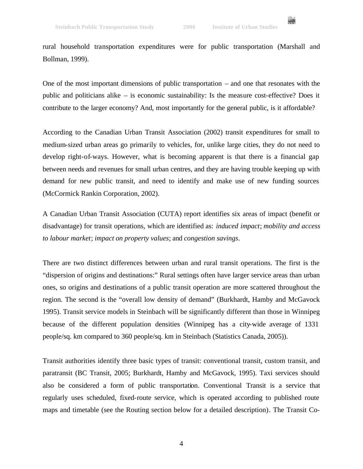

rural household transportation expenditures were for public transportation (Marshall and Bollman, 1999).

One of the most important dimensions of public transportation – and one that resonates with the public and politicians alike – is economic sustainability: Is the measure cost-effective? Does it contribute to the larger economy? And, most importantly for the general public, is it affordable?

According to the Canadian Urban Transit Association (2002) transit expenditures for small to medium-sized urban areas go primarily to vehicles, for, unlike large cities, they do not need to develop right-of-ways. However, what is becoming apparent is that there is a financial gap between needs and revenues for small urban centres, and they are having trouble keeping up with demand for new public transit, and need to identify and make use of new funding sources (McCormick Rankin Corporation, 2002).

A Canadian Urban Transit Association (CUTA) report identifies six areas of impact (benefit or disadvantage) for transit operations, which are identified as: *induced impact*; *mobility and access to labour market*; *impact on property values*; and *congestion savings*.

There are two distinct differences between urban and rural transit operations. The first is the "dispersion of origins and destinations:" Rural settings often have larger service areas than urban ones, so origins and destinations of a public transit operation are more scattered throughout the region. The second is the "overall low density of demand" (Burkhardt, Hamby and McGavock 1995). Transit service models in Steinbach will be significantly different than those in Winnipeg because of the different population densities (Winnipeg has a city-wide average of 1331 people/sq. km compared to 360 people/sq. km in Steinbach (Statistics Canada, 2005)).

Transit authorities identify three basic types of transit: conventional transit, custom transit, and paratransit (BC Transit, 2005; Burkhardt, Hamby and McGavock, 1995). Taxi services should also be considered a form of public transportation. Conventional Transit is a service that regularly uses scheduled, fixed-route service, which is operated according to published route maps and timetable (see the Routing section below for a detailed description). The Transit Co-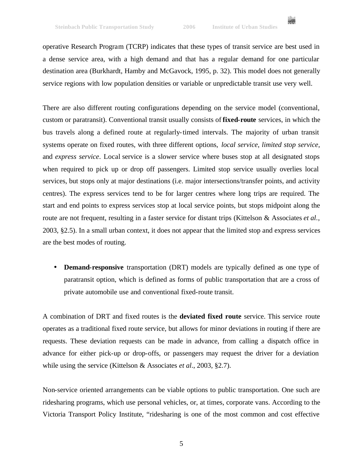

operative Research Program (TCRP) indicates that these types of transit service are best used in a dense service area, with a high demand and that has a regular demand for one particular destination area (Burkhardt, Hamby and McGavock, 1995, p. 32). This model does not generally service regions with low population densities or variable or unpredictable transit use very well.

There are also different routing configurations depending on the service model (conventional, custom or paratransit). Conventional transit usually consists of **fixed-route** services, in which the bus travels along a defined route at regularly-timed intervals. The majority of urban transit systems operate on fixed routes, with three different options, *local service*, *limited stop service*, and *express service*. Local service is a slower service where buses stop at all designated stops when required to pick up or drop off passengers. Limited stop service usually overlies local services, but stops only at major destinations (i.e. major intersections/transfer points, and activity centres). The express services tend to be for larger centres where long trips are required. The start and end points to express services stop at local service points, but stops midpoint along the route are not frequent, resulting in a faster service for distant trips (Kittelson & Associates *et al*., 2003, §2.5). In a small urban context, it does not appear that the limited stop and express services are the best modes of routing.

• **Demand-responsive** transportation (DRT) models are typically defined as one type of paratransit option, which is defined as forms of public transportation that are a cross of private automobile use and conventional fixed-route transit.

A combination of DRT and fixed routes is the **deviated fixed route** service. This service route operates as a traditional fixed route service, but allows for minor deviations in routing if there are requests. These deviation requests can be made in advance, from calling a dispatch office in advance for either pick-up or drop-offs, or passengers may request the driver for a deviation while using the service (Kittelson & Associates *et al*., 2003, §2.7).

Non-service oriented arrangements can be viable options to public transportation. One such are ridesharing programs, which use personal vehicles, or, at times, corporate vans. According to the Victoria Transport Policy Institute, "ridesharing is one of the most common and cost effective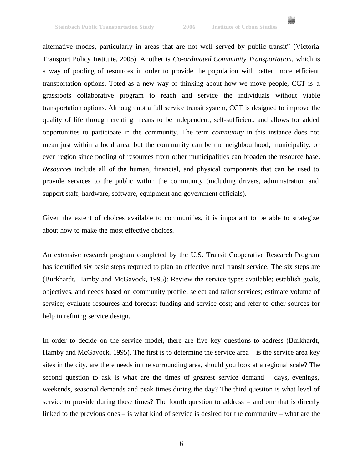e.

alternative modes, particularly in areas that are not well served by public transit" (Victoria Transport Policy Institute, 2005). Another is *Co-ordinated Community Transportation,* which is a way of pooling of resources in order to provide the population with better, more efficient transportation options. Toted as a new way of thinking about how we move people, CCT is a grassroots collaborative program to reach and service the individuals without viable transportation options. Although not a full service transit system, CCT is designed to improve the quality of life through creating means to be independent, self-sufficient, and allows for added opportunities to participate in the community. The term *community* in this instance does not mean just within a local area, but the community can be the neighbourhood, municipality, or even region since pooling of resources from other municipalities can broaden the resource base. *Resources* include all of the human, financial, and physical components that can be used to provide services to the public within the community (including drivers, administration and support staff, hardware, software, equipment and government officials).

Given the extent of choices available to communities, it is important to be able to strategize about how to make the most effective choices.

An extensive research program completed by the U.S. Transit Cooperative Research Program has identified six basic steps required to plan an effective rural transit service. The six steps are (Burkhardt, Hamby and McGavock, 1995): Review the service types available; establish goals, objectives, and needs based on community profile; select and tailor services; estimate volume of service; evaluate resources and forecast funding and service cost; and refer to other sources for help in refining service design.

In order to decide on the service model, there are five key questions to address (Burkhardt, Hamby and McGavock, 1995). The first is to determine the service area – is the service area key sites in the city, are there needs in the surrounding area, should you look at a regional scale? The second question to ask is what are the times of greatest service demand  $-$  days, evenings, weekends, seasonal demands and peak times during the day? The third question is what level of service to provide during those times? The fourth question to address – and one that is directly linked to the previous ones – is what kind of service is desired for the community – what are the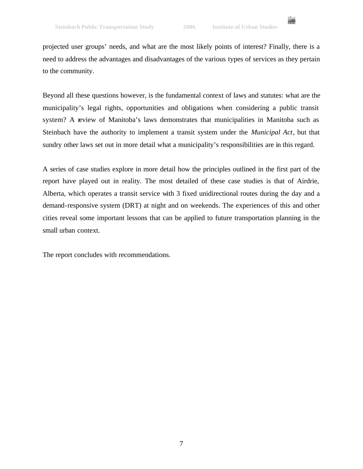

projected user groups' needs, and what are the most likely points of interest? Finally, there is a need to address the advantages and disadvantages of the various types of services as they pertain to the community.

Beyond all these questions however, is the fundamental context of laws and statutes: what are the municipality's legal rights, opportunities and obligations when considering a public transit system? A review of Manitoba's laws demonstrates that municipalities in Manitoba such as Steinbach have the authority to implement a transit system under the *Municipal Act*, but that sundry other laws set out in more detail what a municipality's responsibilities are in this regard.

A series of case studies explore in more detail how the principles outlined in the first part of the report have played out in reality. The most detailed of these case studies is that of Airdrie, Alberta, which operates a transit service with 3 fixed unidirectional routes during the day and a demand-responsive system (DRT) at night and on weekends. The experiences of this and other cities reveal some important lessons that can be applied to future transportation planning in the small urban context.

The report concludes with recommendations.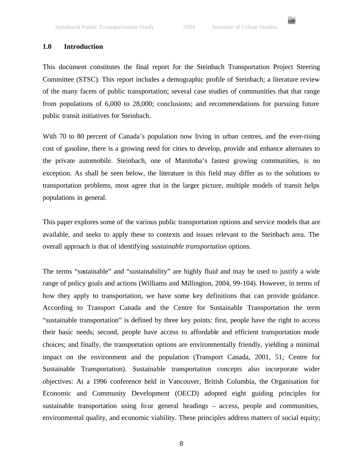

### **1.0 Introduction**

This document constitutes the final report for the Steinbach Transportation Project Steering Committee (STSC). This report includes a demographic profile of Steinbach; a literature review of the many facets of public transportation; several case studies of communities that that range from populations of 6,000 to 28,000; conclusions; and recommendations for pursuing future public transit initiatives for Steinbach.

With 70 to 80 percent of Canada's population now living in urban centres, and the ever-rising cost of gasoline, there is a growing need for cities to develop, provide and enhance alternates to the private automobile. Steinbach, one of Manitoba's fastest growing communities, is no exception. As shall be seen below, the literature in this field may differ as to the solutions to transportation problems, most agree that in the larger picture, multiple models of transit helps populations in general.

This paper explores some of the various public transportation options and service models that are available, and seeks to apply these to contexts and issues relevant to the Steinbach area. The overall approach is that of identifying *sustainable transportation* options.

The terms "sustainable" and "sustainability" are highly fluid and may be used to justify a wide range of policy goals and actions (Williams and Millington, 2004, 99-104). However, in terms of how they apply to transportation, we have some key definitions that can provide guidance. According to Transport Canada and the Centre for Sustainable Transportation the term "sustainable transportation" is defined by three key points: first, people have the right to access their basic needs; second, people have access to affordable and efficient transportation mode choices; and finally, the transportation options are environmentally friendly, yielding a minimal impact on the environment and the population (Transport Canada, 2001, 51; Centre for Sustainable Transportation). Sustainable transportation concepts also incorporate wider objectives: At a 1996 conference held in Vancouver, British Columbia, the Organisation for Economic and Community Development (OECD) adopted eight guiding principles for sustainable transportation using four general headings – access, people and communities, environmental quality, and economic viability. These principles address matters of social equity;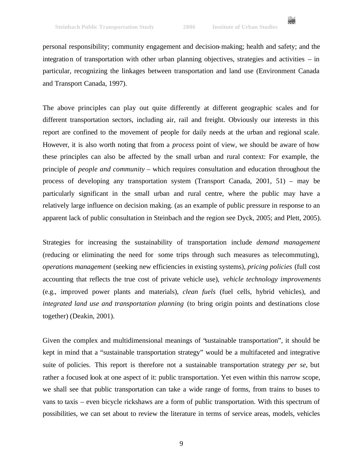

personal responsibility; community engagement and decision-making; health and safety; and the integration of transportation with other urban planning objectives, strategies and activities – in particular, recognizing the linkages between transportation and land use (Environment Canada and Transport Canada, 1997).

The above principles can play out quite differently at different geographic scales and for different transportation sectors, including air, rail and freight. Obviously our interests in this report are confined to the movement of people for daily needs at the urban and regional scale. However, it is also worth noting that from a *process* point of view, we should be aware of how these principles can also be affected by the small urban and rural context: For example, the principle of *people and community* – which requires consultation and education throughout the process of developing any transportation system (Transport Canada, 2001, 51) – may be particularly significant in the small urban and rural centre, where the public may have a relatively large influence on decision making. (as an example of public pressure in response to an apparent lack of public consultation in Steinbach and the region see Dyck, 2005; and Plett, 2005).

Strategies for increasing the sustainability of transportation include *demand management* (reducing or eliminating the need for some trips through such measures as telecommuting), *operations management* (seeking new efficiencies in existing systems), *pricing policies* (full cost accounting that reflects the true cost of private vehicle use), *vehicle technology improvements* (e.g., improved power plants and materials), *clean fuels* (fuel cells, hybrid vehicles), and *integrated land use and transportation planning* (to bring origin points and destinations close together) (Deakin, 2001).

Given the complex and multidimensional meanings of "sustainable transportation", it should be kept in mind that a "sustainable transportation strategy" would be a multifaceted and integrative suite of policies. This report is therefore not a sustainable transportation strategy *per se*, but rather a focused look at one aspect of it: public transportation. Yet even within this narrow scope, we shall see that public transportation can take a wide range of forms, from trains to buses to vans to taxis – even bicycle rickshaws are a form of public transportation. With this spectrum of possibilities, we can set about to review the literature in terms of service areas, models, vehicles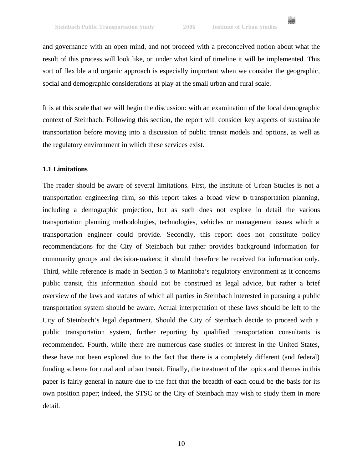

and governance with an open mind, and not proceed with a preconceived notion about what the result of this process will look like, or under what kind of timeline it will be implemented. This sort of flexible and organic approach is especially important when we consider the geographic, social and demographic considerations at play at the small urban and rural scale.

It is at this scale that we will begin the discussion: with an examination of the local demographic context of Steinbach. Following this section, the report will consider key aspects of sustainable transportation before moving into a discussion of public transit models and options, as well as the regulatory environment in which these services exist.

### **1.1 Limitations**

The reader should be aware of several limitations. First, the Institute of Urban Studies is not a transportation engineering firm, so this report takes a broad view to transportation planning, including a demographic projection, but as such does not explore in detail the various transportation planning methodologies, technologies, vehicles or management issues which a transportation engineer could provide. Secondly, this report does not constitute policy recommendations for the City of Steinbach but rather provides background information for community groups and decision-makers; it should therefore be received for information only. Third, while reference is made in Section 5 to Manitoba's regulatory environment as it concerns public transit, this information should not be construed as legal advice, but rather a brief overview of the laws and statutes of which all parties in Steinbach interested in pursuing a public transportation system should be aware. Actual interpretation of these laws should be left to the City of Steinbach's legal department. Should the City of Steinbach decide to proceed with a public transportation system, further reporting by qualified transportation consultants is recommended. Fourth, while there are numerous case studies of interest in the United States, these have not been explored due to the fact that there is a completely different (and federal) funding scheme for rural and urban transit. Fina lly, the treatment of the topics and themes in this paper is fairly general in nature due to the fact that the breadth of each could be the basis for its own position paper; indeed, the STSC or the City of Steinbach may wish to study them in more detail.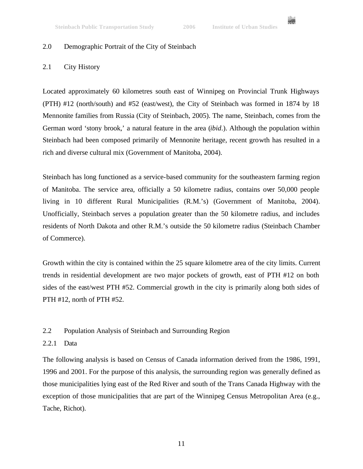and in

### 2.0 Demographic Portrait of the City of Steinbach

### 2.1 City History

Located approximately 60 kilometres south east of Winnipeg on Provincial Trunk Highways (PTH) #12 (north/south) and #52 (east/west), the City of Steinbach was formed in 1874 by 18 Mennonite families from Russia (City of Steinbach, 2005). The name, Steinbach, comes from the German word 'stony brook,' a natural feature in the area (*ibid*.). Although the population within Steinbach had been composed primarily of Mennonite heritage, recent growth has resulted in a rich and diverse cultural mix (Government of Manitoba, 2004).

Steinbach has long functioned as a service-based community for the southeastern farming region of Manitoba. The service area, officially a 50 kilometre radius, contains over 50,000 people living in 10 different Rural Municipalities (R.M.'s) (Government of Manitoba, 2004). Unofficially, Steinbach serves a population greater than the 50 kilometre radius, and includes residents of North Dakota and other R.M.'s outside the 50 kilometre radius (Steinbach Chamber of Commerce).

Growth within the city is contained within the 25 square kilometre area of the city limits. Current trends in residential development are two major pockets of growth, east of PTH #12 on both sides of the east/west PTH #52. Commercial growth in the city is primarily along both sides of PTH #12, north of PTH #52.

### 2.2 Population Analysis of Steinbach and Surrounding Region

### 2.2.1 Data

The following analysis is based on Census of Canada information derived from the 1986, 1991, 1996 and 2001. For the purpose of this analysis, the surrounding region was generally defined as those municipalities lying east of the Red River and south of the Trans Canada Highway with the exception of those municipalities that are part of the Winnipeg Census Metropolitan Area (e.g., Tache, Richot).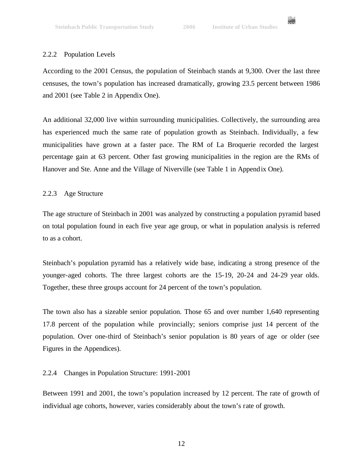

### 2.2.2 Population Levels

According to the 2001 Census, the population of Steinbach stands at 9,300. Over the last three censuses, the town's population has increased dramatically, growing 23.5 percent between 1986 and 2001 (see Table 2 in Appendix One).

An additional 32,000 live within surrounding municipalities. Collectively, the surrounding area has experienced much the same rate of population growth as Steinbach. Individually, a few municipalities have grown at a faster pace. The RM of La Broquerie recorded the largest percentage gain at 63 percent. Other fast growing municipalities in the region are the RMs of Hanover and Ste. Anne and the Village of Niverville (see Table 1 in Appendix One).

### 2.2.3 Age Structure

The age structure of Steinbach in 2001 was analyzed by constructing a population pyramid based on total population found in each five year age group, or what in population analysis is referred to as a cohort.

Steinbach's population pyramid has a relatively wide base, indicating a strong presence of the younger-aged cohorts. The three largest cohorts are the 15-19, 20-24 and 24-29 year olds. Together, these three groups account for 24 percent of the town's population.

The town also has a sizeable senior population. Those 65 and over number 1,640 representing 17.8 percent of the population while provincially; seniors comprise just 14 percent of the population. Over one-third of Steinbach's senior population is 80 years of age or older (see Figures in the Appendices).

### 2.2.4 Changes in Population Structure: 1991-2001

Between 1991 and 2001, the town's population increased by 12 percent. The rate of growth of individual age cohorts, however, varies considerably about the town's rate of growth.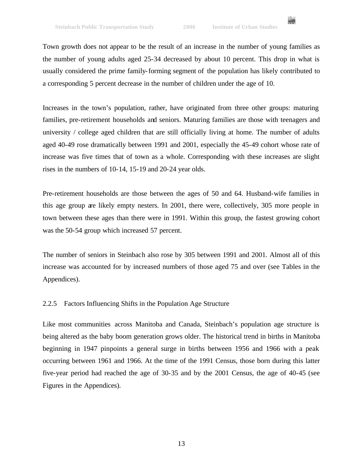

Town growth does not appear to be the result of an increase in the number of young families as the number of young adults aged 25-34 decreased by about 10 percent. This drop in what is usually considered the prime family-forming segment of the population has likely contributed to a corresponding 5 percent decrease in the number of children under the age of 10.

Increases in the town's population, rather, have originated from three other groups: maturing families, pre-retirement households and seniors. Maturing families are those with teenagers and university / college aged children that are still officially living at home. The number of adults aged 40-49 rose dramatically between 1991 and 2001, especially the 45-49 cohort whose rate of increase was five times that of town as a whole. Corresponding with these increases are slight rises in the numbers of 10-14, 15-19 and 20-24 year olds.

Pre-retirement households are those between the ages of 50 and 64. Husband-wife families in this age group are likely empty nesters. In 2001, there were, collectively, 305 more people in town between these ages than there were in 1991. Within this group, the fastest growing cohort was the 50-54 group which increased 57 percent.

The number of seniors in Steinbach also rose by 305 between 1991 and 2001. Almost all of this increase was accounted for by increased numbers of those aged 75 and over (see Tables in the Appendices).

### 2.2.5 Factors Influencing Shifts in the Population Age Structure

Like most communities across Manitoba and Canada, Steinbach's population age structure is being altered as the baby boom generation grows older. The historical trend in births in Manitoba beginning in 1947 pinpoints a general surge in births between 1956 and 1966 with a peak occurring between 1961 and 1966. At the time of the 1991 Census, those born during this latter five-year period had reached the age of 30-35 and by the 2001 Census, the age of 40-45 (see Figures in the Appendices).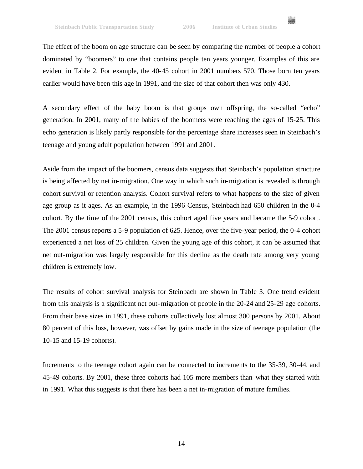

The effect of the boom on age structure can be seen by comparing the number of people a cohort dominated by "boomers" to one that contains people ten years younger. Examples of this are evident in Table 2. For example, the 40-45 cohort in 2001 numbers 570. Those born ten years earlier would have been this age in 1991, and the size of that cohort then was only 430.

A secondary effect of the baby boom is that groups own offspring, the so-called "echo" generation. In 2001, many of the babies of the boomers were reaching the ages of 15-25. This echo generation is likely partly responsible for the percentage share increases seen in Steinbach's teenage and young adult population between 1991 and 2001.

Aside from the impact of the boomers, census data suggests that Steinbach's population structure is being affected by net in-migration. One way in which such in-migration is revealed is through cohort survival or retention analysis. Cohort survival refers to what happens to the size of given age group as it ages. As an example, in the 1996 Census, Steinbach had 650 children in the 0-4 cohort. By the time of the 2001 census, this cohort aged five years and became the 5-9 cohort. The 2001 census reports a 5-9 population of 625. Hence, over the five-year period, the 0-4 cohort experienced a net loss of 25 children. Given the young age of this cohort, it can be assumed that net out-migration was largely responsible for this decline as the death rate among very young children is extremely low.

The results of cohort survival analysis for Steinbach are shown in Table 3. One trend evident from this analysis is a significant net out-migration of people in the 20-24 and 25-29 age cohorts. From their base sizes in 1991, these cohorts collectively lost almost 300 persons by 2001. About 80 percent of this loss, however, was offset by gains made in the size of teenage population (the 10-15 and 15-19 cohorts).

Increments to the teenage cohort again can be connected to increments to the 35-39, 30-44, and 45-49 cohorts. By 2001, these three cohorts had 105 more members than what they started with in 1991. What this suggests is that there has been a net in-migration of mature families.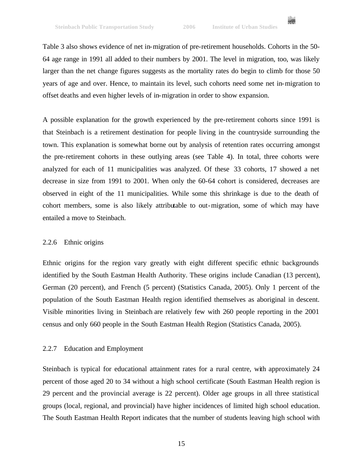

Table 3 also shows evidence of net in-migration of pre-retirement households. Cohorts in the 50- 64 age range in 1991 all added to their numbers by 2001. The level in migration, too, was likely larger than the net change figures suggests as the mortality rates do begin to climb for those 50 years of age and over. Hence, to maintain its level, such cohorts need some net in-migration to offset deaths and even higher levels of in-migration in order to show expansion.

A possible explanation for the growth experienced by the pre-retirement cohorts since 1991 is that Steinbach is a retirement destination for people living in the countryside surrounding the town. This explanation is somewhat borne out by analysis of retention rates occurring amongst the pre-retirement cohorts in these outlying areas (see Table 4). In total, three cohorts were analyzed for each of 11 municipalities was analyzed. Of these 33 cohorts, 17 showed a net decrease in size from 1991 to 2001. When only the 60-64 cohort is considered, decreases are observed in eight of the 11 municipalities. While some this shrinkage is due to the death of cohort members, some is also likely attributable to out-migration, some of which may have entailed a move to Steinbach.

### 2.2.6 Ethnic origins

Ethnic origins for the region vary greatly with eight different specific ethnic backgrounds identified by the South Eastman Health Authority. These origins include Canadian (13 percent), German (20 percent), and French (5 percent) (Statistics Canada, 2005). Only 1 percent of the population of the South Eastman Health region identified themselves as aboriginal in descent. Visible minorities living in Steinbach are relatively few with 260 people reporting in the 2001 census and only 660 people in the South Eastman Health Region (Statistics Canada, 2005).

### 2.2.7 Education and Employment

Steinbach is typical for educational attainment rates for a rural centre, with approximately 24 percent of those aged 20 to 34 without a high school certificate (South Eastman Health region is 29 percent and the provincial average is 22 percent). Older age groups in all three statistical groups (local, regional, and provincial) have higher incidences of limited high school education. The South Eastman Health Report indicates that the number of students leaving high school with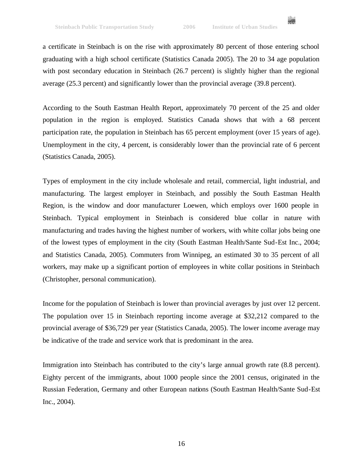

a certificate in Steinbach is on the rise with approximately 80 percent of those entering school graduating with a high school certificate (Statistics Canada 2005). The 20 to 34 age population with post secondary education in Steinbach (26.7 percent) is slightly higher than the regional average (25.3 percent) and significantly lower than the provincial average (39.8 percent).

According to the South Eastman Health Report, approximately 70 percent of the 25 and older population in the region is employed. Statistics Canada shows that with a 68 percent participation rate, the population in Steinbach has 65 percent employment (over 15 years of age). Unemployment in the city, 4 percent, is considerably lower than the provincial rate of 6 percent (Statistics Canada, 2005).

Types of employment in the city include wholesale and retail, commercial, light industrial, and manufacturing. The largest employer in Steinbach, and possibly the South Eastman Health Region, is the window and door manufacturer Loewen, which employs over 1600 people in Steinbach. Typical employment in Steinbach is considered blue collar in nature with manufacturing and trades having the highest number of workers, with white collar jobs being one of the lowest types of employment in the city (South Eastman Health/Sante Sud-Est Inc., 2004; and Statistics Canada, 2005). Commuters from Winnipeg, an estimated 30 to 35 percent of all workers, may make up a significant portion of employees in white collar positions in Steinbach (Christopher, personal communication).

Income for the population of Steinbach is lower than provincial averages by just over 12 percent. The population over 15 in Steinbach reporting income average at \$32,212 compared to the provincial average of \$36,729 per year (Statistics Canada, 2005). The lower income average may be indicative of the trade and service work that is predominant in the area.

Immigration into Steinbach has contributed to the city's large annual growth rate (8.8 percent). Eighty percent of the immigrants, about 1000 people since the 2001 census, originated in the Russian Federation, Germany and other European nations (South Eastman Health/Sante Sud-Est Inc., 2004).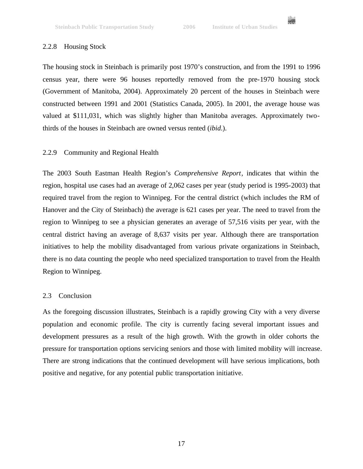

### 2.2.8 Housing Stock

The housing stock in Steinbach is primarily post 1970's construction, and from the 1991 to 1996 census year, there were 96 houses reportedly removed from the pre-1970 housing stock (Government of Manitoba, 2004). Approximately 20 percent of the houses in Steinbach were constructed between 1991 and 2001 (Statistics Canada, 2005). In 2001, the average house was valued at \$111,031, which was slightly higher than Manitoba averages. Approximately twothirds of the houses in Steinbach are owned versus rented (*ibid*.).

### 2.2.9 Community and Regional Health

The 2003 South Eastman Health Region's *Comprehensive Report*, indicates that within the region, hospital use cases had an average of 2,062 cases per year (study period is 1995-2003) that required travel from the region to Winnipeg. For the central district (which includes the RM of Hanover and the City of Steinbach) the average is 621 cases per year. The need to travel from the region to Winnipeg to see a physician generates an average of 57,516 visits per year, with the central district having an average of 8,637 visits per year. Although there are transportation initiatives to help the mobility disadvantaged from various private organizations in Steinbach, there is no data counting the people who need specialized transportation to travel from the Health Region to Winnipeg.

### 2.3 Conclusion

As the foregoing discussion illustrates, Steinbach is a rapidly growing City with a very diverse population and economic profile. The city is currently facing several important issues and development pressures as a result of the high growth. With the growth in older cohorts the pressure for transportation options servicing seniors and those with limited mobility will increase. There are strong indications that the continued development will have serious implications, both positive and negative, for any potential public transportation initiative.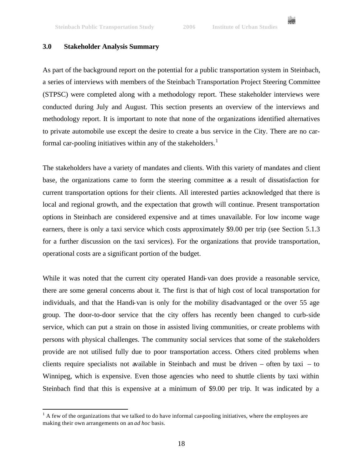

### **3.0 Stakeholder Analysis Summary**

 $\overline{a}$ 

As part of the background report on the potential for a public transportation system in Steinbach, a series of interviews with members of the Steinbach Transportation Project Steering Committee (STPSC) were completed along with a methodology report. These stakeholder interviews were conducted during July and August. This section presents an overview of the interviews and methodology report. It is important to note that none of the organizations identified alternatives to private automobile use except the desire to create a bus service in the City. There are no carformal car-pooling initiatives within any of the stakeholders. $<sup>1</sup>$ </sup>

The stakeholders have a variety of mandates and clients. With this variety of mandates and client base, the organizations came to form the steering committee as a result of dissatisfaction for current transportation options for their clients. All interested parties acknowledged that there is local and regional growth, and the expectation that growth will continue. Present transportation options in Steinbach are considered expensive and at times unavailable. For low income wage earners, there is only a taxi service which costs approximately \$9.00 per trip (see Section 5.1.3 for a further discussion on the taxi services). For the organizations that provide transportation, operational costs are a significant portion of the budget.

While it was noted that the current city operated Handi-van does provide a reasonable service, there are some general concerns about it. The first is that of high cost of local transportation for individuals, and that the Handi-van is only for the mobility disadvantaged or the over 55 age group. The door-to-door service that the city offers has recently been changed to curb-side service, which can put a strain on those in assisted living communities, or create problems with persons with physical challenges. The community social services that some of the stakeholders provide are not utilised fully due to poor transportation access. Others cited problems when clients require specialists not available in Steinbach and must be driven – often by taxi – to Winnipeg, which is expensive. Even those agencies who need to shuttle clients by taxi within Steinbach find that this is expensive at a minimum of \$9.00 per trip. It was indicated by a

 $<sup>1</sup>$  A few of the organizations that we talked to do have informal car-pooling initiatives, where the employees are</sup> making their own arrangements on an *ad hoc* basis.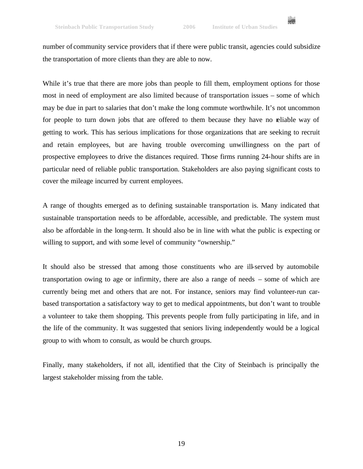

number of community service providers that if there were public transit, agencies could subsidize the transportation of more clients than they are able to now.

While it's true that there are more jobs than people to fill them, employment options for those most in need of employment are also limited because of transportation issues – some of which may be due in part to salaries that don't make the long commute worthwhile. It's not uncommon for people to turn down jobs that are offered to them because they have no reliable way of getting to work. This has serious implications for those organizations that are seeking to recruit and retain employees, but are having trouble overcoming unwillingness on the part of prospective employees to drive the distances required. Those firms running 24-hour shifts are in particular need of reliable public transportation. Stakeholders are also paying significant costs to cover the mileage incurred by current employees.

A range of thoughts emerged as to defining sustainable transportation is. Many indicated that sustainable transportation needs to be affordable, accessible, and predictable. The system must also be affordable in the long-term. It should also be in line with what the public is expecting or willing to support, and with some level of community "ownership."

It should also be stressed that among those constituents who are ill-served by automobile transportation owing to age or infirmity, there are also a range of needs – some of which are currently being met and others that are not. For instance, seniors may find volunteer-run carbased transportation a satisfactory way to get to medical appointments, but don't want to trouble a volunteer to take them shopping. This prevents people from fully participating in life, and in the life of the community. It was suggested that seniors living independently would be a logical group to with whom to consult, as would be church groups.

Finally, many stakeholders, if not all, identified that the City of Steinbach is principally the largest stakeholder missing from the table.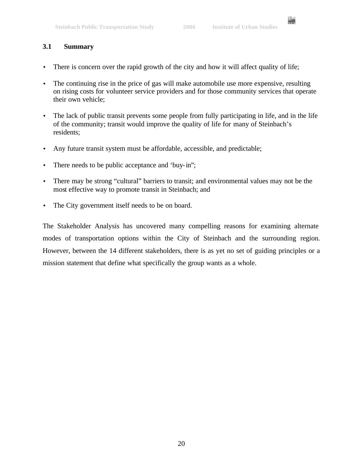

### **3.1 Summary**

- There is concern over the rapid growth of the city and how it will affect quality of life;
- The continuing rise in the price of gas will make automobile use more expensive, resulting on rising costs for volunteer service providers and for those community services that operate their own vehicle;
- The lack of public transit prevents some people from fully participating in life, and in the life of the community; transit would improve the quality of life for many of Steinbach's residents;
- Any future transit system must be affordable, accessible, and predictable;
- There needs to be public acceptance and 'buy-in";
- There may be strong "cultural" barriers to transit; and environmental values may not be the most effective way to promote transit in Steinbach; and
- The City government itself needs to be on board.

The Stakeholder Analysis has uncovered many compelling reasons for examining alternate modes of transportation options within the City of Steinbach and the surrounding region. However, between the 14 different stakeholders, there is as yet no set of guiding principles or a mission statement that define what specifically the group wants as a whole.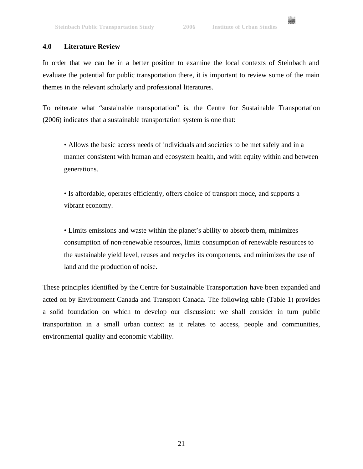

### **4.0 Literature Review**

In order that we can be in a better position to examine the local contexts of Steinbach and evaluate the potential for public transportation there, it is important to review some of the main themes in the relevant scholarly and professional literatures.

To reiterate what "sustainable transportation" is, the Centre for Sustainable Transportation (2006) indicates that a sustainable transportation system is one that:

• Allows the basic access needs of individuals and societies to be met safely and in a manner consistent with human and ecosystem health, and with equity within and between generations.

• Is affordable, operates efficiently, offers choice of transport mode, and supports a vibrant economy.

• Limits emissions and waste within the planet's ability to absorb them, minimizes consumption of non-renewable resources, limits consumption of renewable resources to the sustainable yield level, reuses and recycles its components, and minimizes the use of land and the production of noise.

These principles identified by the Centre for Sustainable Transportation have been expanded and acted on by Environment Canada and Transport Canada. The following table (Table 1) provides a solid foundation on which to develop our discussion: we shall consider in turn public transportation in a small urban context as it relates to access, people and communities, environmental quality and economic viability.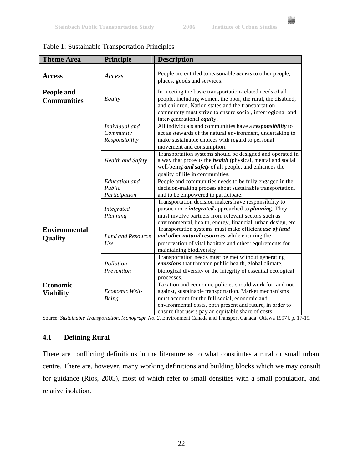Transportation systems must make efficient *use of land* 

preservation of vital habitats and other requirements for

Taxation and economic policies should work for, and not against, sustainable transportation. Market mechanisms

environmental costs, both present and future, in order to ensure that users pay an equitable share of costs.

Transportation needs must be met without generating *emissions* that threaten public health, global climate, biological diversity or the integrity of essential ecological

*and other natural resources* while ensuring the

must account for the full social, economic and



| <b>Theme Area</b>  | <b>Principle</b>                                     | <b>Description</b>                                                                                                                                                                                                                                 |
|--------------------|------------------------------------------------------|----------------------------------------------------------------------------------------------------------------------------------------------------------------------------------------------------------------------------------------------------|
| <b>Access</b>      | Access                                               | People are entitled to reasonable <i>access</i> to other people,<br>places, goods and services.                                                                                                                                                    |
| People and         |                                                      | In meeting the basic transportation-related needs of all                                                                                                                                                                                           |
| <b>Communities</b> | Equity                                               | people, including women, the poor, the rural, the disabled,<br>and children, Nation states and the transportation<br>community must strive to ensure social, inter-regional and<br>inter-generational <i>equity</i> .                              |
|                    | Individual and<br>Community<br><i>Responsibility</i> | All individuals and communities have a responsibility to<br>act as stewards of the natural environment, undertaking to<br>make sustainable choices with regard to personal<br>movement and consumption.                                            |
|                    | Health and Safety                                    | Transportation systems should be designed and operated in<br>a way that protects the <i>health</i> (physical, mental and social<br>well-being <i>and safety</i> of all people, and enhances the<br>quality of life in communities.                 |
|                    | Education and<br>Public<br>Participation             | People and communities needs to be fully engaged in the<br>decision-making process about sustainable transportation,<br>and to be empowered to participate.                                                                                        |
|                    | Integrated<br>Planning                               | Transportation decision makers have responsibility to<br>pursue more <i>integrated</i> approached to <i>planning</i> . They<br>must involve partners from relevant sectors such as<br>environmental, health, energy, financial, urban design, etc. |

*Land and Resource* 

*Use* 

*Pollution Prevention*

*Being*

### Table 1: Sustainable Transportation Principles

Source: *Sustainable Transportation, Monograph No. 2*. Environment Canada and Transport Canada [Ottawa 1997], p. 17-19.

processes.

maintaining biodiversity.

### **4.1 Defining Rural**

**Viability** *Economic Well-*

**Environmental** 

**Quality**

**Economic** 

There are conflicting definitions in the literature as to what constitutes a rural or small urban centre. There are, however, many working definitions and building blocks which we may consult for guidance (Rios, 2005), most of which refer to small densities with a small population, and relative isolation.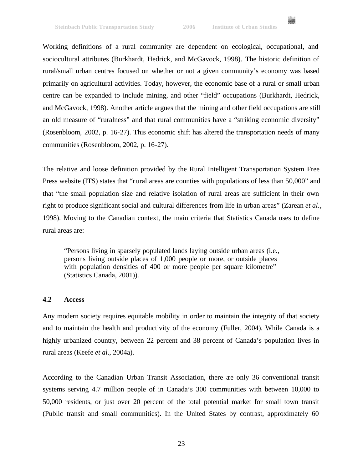æ

Working definitions of a rural community are dependent on ecological, occupational, and sociocultural attributes (Burkhardt, Hedrick, and McGavock, 1998). The historic definition of rural/small urban centres focused on whether or not a given community's economy was based primarily on agricultural activities. Today, however, the economic base of a rural or small urban centre can be expanded to include mining, and other "field" occupations (Burkhardt, Hedrick, and McGavock, 1998). Another article argues that the mining and other field occupations are still an old measure of "ruralness" and that rural communities have a "striking economic diversity" (Rosenbloom, 2002, p. 16-27). This economic shift has altered the transportation needs of many communities (Rosenbloom, 2002, p. 16-27).

The relative and loose definition provided by the Rural Intelligent Transportation System Free Press website (ITS) states that "rural areas are counties with populations of less than 50,000" and that "the small population size and relative isolation of rural areas are sufficient in their own right to produce significant social and cultural differences from life in urban areas" (Zarean *et al*., 1998). Moving to the Canadian context, the main criteria that Statistics Canada uses to define rural areas are:

"Persons living in sparsely populated lands laying outside urban areas (i.e., persons living outside places of 1,000 people or more, or outside places with population densities of 400 or more people per square kilometre" (Statistics Canada, 2001)).

### **4.2 Access**

Any modern society requires equitable mobility in order to maintain the integrity of that society and to maintain the health and productivity of the economy (Fuller, 2004). While Canada is a highly urbanized country, between 22 percent and 38 percent of Canada's population lives in rural areas (Keefe *et al*., 2004a).

According to the Canadian Urban Transit Association, there are only 36 conventional transit systems serving 4.7 million people of in Canada's 300 communities with between 10,000 to 50,000 residents, or just over 20 percent of the total potential market for small town transit (Public transit and small communities). In the United States by contrast, approximately 60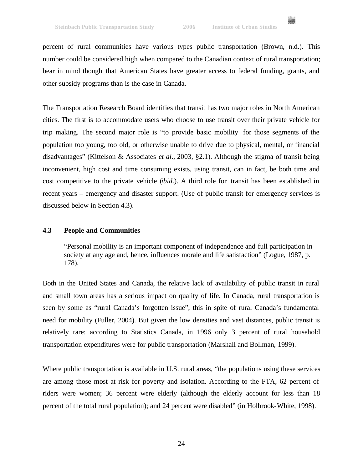

percent of rural communities have various types public transportation (Brown, n.d.). This number could be considered high when compared to the Canadian context of rural transportation; bear in mind though that American States have greater access to federal funding, grants, and other subsidy programs than is the case in Canada.

The Transportation Research Board identifies that transit has two major roles in North American cities. The first is to accommodate users who choose to use transit over their private vehicle for trip making. The second major role is "to provide basic mobility for those segments of the population too young, too old, or otherwise unable to drive due to physical, mental, or financial disadvantages" (Kittelson & Associates *et al*., 2003, §2.1). Although the stigma of transit being inconvenient, high cost and time consuming exists, using transit, can in fact, be both time and cost competitive to the private vehicle (*ibid*.). A third role for transit has been established in recent years – emergency and disaster support. (Use of public transit for emergency services is discussed below in Section 4.3).

### **4.3 People and Communities**

"Personal mobility is an important component of independence and full participation in society at any age and, hence, influences morale and life satisfaction" (Logue, 1987, p. 178).

Both in the United States and Canada, the relative lack of availability of public transit in rural and small town areas has a serious impact on quality of life. In Canada, rural transportation is seen by some as "rural Canada's forgotten issue", this in spite of rural Canada's fundamental need for mobility (Fuller, 2004). But given the low densities and vast distances, public transit is relatively rare: according to Statistics Canada, in 1996 only 3 percent of rural household transportation expenditures were for public transportation (Marshall and Bollman, 1999).

Where public transportation is available in U.S. rural areas, "the populations using these services are among those most at risk for poverty and isolation. According to the FTA, 62 percent of riders were women; 36 percent were elderly (although the elderly account for less than 18 percent of the total rural population); and 24 percent were disabled" (in Holbrook-White, 1998).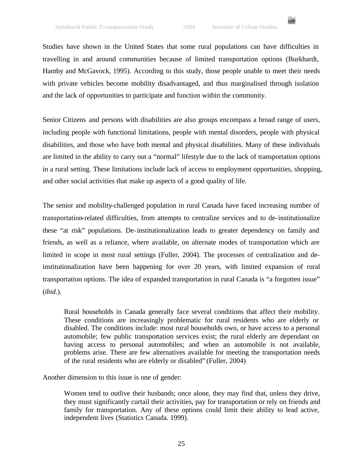

Studies have shown in the United States that some rural populations can have difficulties in travelling in and around communities because of limited transportation options (Burkhardt, Hamby and McGavock, 1995). According to this study, those people unable to meet their needs with private vehicles become mobility disadvantaged, and thus marginalised through isolation and the lack of opportunities to participate and function within the community.

Senior Citizens and persons with disabilities are also groups encompass a broad range of users, including people with functional limitations, people with mental disorders, people with physical disabilities, and those who have both mental and physical disabilities. Many of these individuals are limited in the ability to carry out a "normal" lifestyle due to the lack of transportation options in a rural setting. These limitations include lack of access to employment opportunities, shopping, and other social activities that make up aspects of a good quality of life.

The senior and mobility-challenged population in rural Canada have faced increasing number of transportation-related difficulties, from attempts to centralize services and to de-institutionalize these "at risk" populations. De-institutionalization leads to greater dependency on family and friends, as well as a reliance, where available, on alternate modes of transportation which are limited in scope in most rural settings (Fuller, 2004). The processes of centralization and deinstitutionalization have been happening for over 20 years, with limited expansion of rural transportation options. The idea of expanded transportation in rural Canada is "a forgotten issue" (*ibid*.).

Rural households in Canada generally face several conditions that affect their mobility. These conditions are increasingly problematic for rural residents who are elderly or disabled. The conditions include: most rural households own, or have access to a personal automobile; few public transportation services exist; the rural elderly are dependant on having access to personal automobiles; and when an automobile is not available, problems arise. There are few alternatives available for meeting the transportation needs of the rural residents who are elderly or disabled" (Fuller, 2004)

Another dimension to this issue is one of gender:

Women tend to outlive their husbands; once alone, they may find that, unless they drive, they must significantly curtail their activities, pay for transportation or rely on friends and family for transportation. Any of these options could limit their ability to lead active, independent lives (Statistics Canada*.* 1999).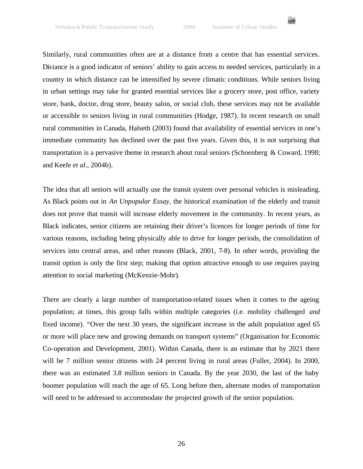

Similarly, rural communities often are at a distance from a centre that has essential services. Distance is a good indicator of seniors' ability to gain access to needed services, particularly in a country in which distance can be intensified by severe climatic conditions. While seniors living in urban settings may take for granted essential services like a grocery store, post office, variety store, bank, doctor, drug store, beauty salon, or social club, these services may not be available or accessible to seniors living in rural communities (Hodge, 1987). In recent research on small rural communities in Canada, Halseth (2003) found that availability of essential services in one's immediate community has declined over the past five years. Given this, it is not surprising that transportation is a pervasive theme in research about rural seniors (Schoenberg & Coward, 1998; and Keefe *et al*., 2004b).

The idea that all seniors will actually use the transit system over personal vehicles is misleading. As Black points out in *An Unpopular Essay*, the historical examination of the elderly and transit does not prove that transit will increase elderly movement in the community. In recent years, as Black indicates, senior citizens are retaining their driver's licences for longer periods of time for various reasons, including being physically able to drive for longer periods, the consolidation of services into central areas, and other reasons (Black, 2001, 7-8). In other words, providing the transit option is only the first step; making that option attractive enough to use requires paying attention to social marketing (McKenzie-Mohr).

There are clearly a large number of transportation-related issues when it comes to the ageing population; at times, this group falls within multiple categories (i.e. mobility challenged *and* fixed income). "Over the next 30 years, the significant increase in the adult population aged 65 or more will place new and growing demands on transport systems" (Organisation for Economic Co-operation and Development, 2001). Within Canada, there is an estimate that by 2021 there will be 7 million senior citizens with 24 percent living in rural areas (Fuller, 2004). In 2000, there was an estimated 3.8 million seniors in Canada. By the year 2030, the last of the baby boomer population will reach the age of 65. Long before then, alternate modes of transportation will need to be addressed to accommodate the projected growth of the senior population.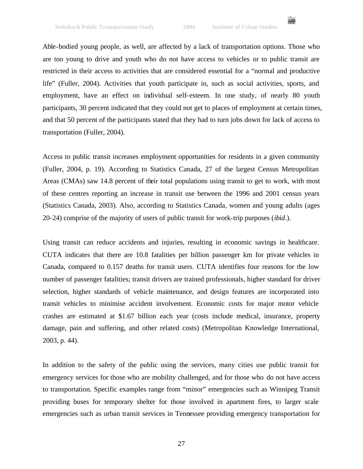

Able-bodied young people, as well, are affected by a lack of transportation options. Those who are too young to drive and youth who do not have access to vehicles or to public transit are restricted in their access to activities that are considered essential for a "normal and productive life" (Fuller, 2004). Activities that youth participate in, such as social activities, sports, and employment, have an effect on individual self-esteem. In one study, of nearly 80 youth participants, 30 percent indicated that they could not get to places of employment at certain times, and that 50 percent of the participants stated that they had to turn jobs down for lack of access to transportation (Fuller, 2004).

Access to public transit increases employment opportunities for residents in a given community (Fuller, 2004, p. 19). According to Statistics Canada, 27 of the largest Census Metropolitan Areas (CMAs) saw 14.8 percent of their total populations using transit to get to work, with most of these centres reporting an increase in transit use between the 1996 and 2001 census years (Statistics Canada, 2003). Also, according to Statistics Canada, women and young adults (ages 20-24) comprise of the majority of users of public transit for work-trip purposes (*ibid*.).

Using transit can reduce accidents and injuries, resulting in economic savings in healthcare. CUTA indicates that there are 10.8 fatalities per billion passenger km for private vehicles in Canada, compared to 0.157 deaths for transit users. CUTA identifies four reasons for the low number of passenger fatalities; transit drivers are trained professionals, higher standard for driver selection, higher standards of vehicle maintenance, and design features are incorporated into transit vehicles to minimise accident involvement. Economic costs for major motor vehicle crashes are estimated at \$1.67 billion each year (costs include medical, insurance, property damage, pain and suffering, and other related costs) (Metropolitan Knowledge International, 2003, p. 44).

In addition to the safety of the public using the services, many cities use public transit for emergency services for those who are mobility challenged, and for those who do not have access to transportation. Specific examples range from "minor" emergencies such as Winnipeg Transit providing buses for temporary shelter for those involved in apartment fires, to larger scale emergencies such as urban transit services in Tennessee providing emergency transportation for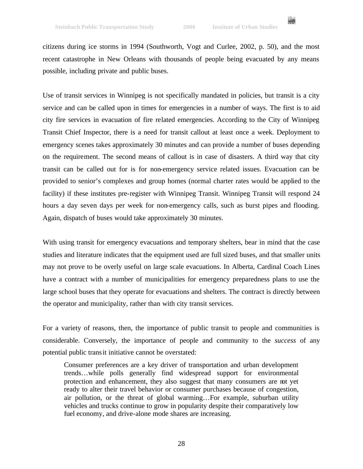citizens during ice storms in 1994 (Southworth, Vogt and Curlee, 2002, p. 50), and the most recent catastrophe in New Orleans with thousands of people being evacuated by any means possible, including private and public buses.

Use of transit services in Winnipeg is not specifically mandated in policies, but transit is a city service and can be called upon in times for emergencies in a number of ways. The first is to aid city fire services in evacuation of fire related emergencies. According to the City of Winnipeg Transit Chief Inspector, there is a need for transit callout at least once a week. Deployment to emergency scenes takes approximately 30 minutes and can provide a number of buses depending on the requirement. The second means of callout is in case of disasters. A third way that city transit can be called out for is for non-emergency service related issues. Evacuation can be provided to senior's complexes and group homes (normal charter rates would be applied to the facility) if these institutes pre-register with Winnipeg Transit. Winnipeg Transit will respond 24 hours a day seven days per week for non-emergency calls, such as burst pipes and flooding. Again, dispatch of buses would take approximately 30 minutes.

With using transit for emergency evacuations and temporary shelters, bear in mind that the case studies and literature indicates that the equipment used are full sized buses, and that smaller units may not prove to be overly useful on large scale evacuations. In Alberta, Cardinal Coach Lines have a contract with a number of municipalities for emergency preparedness plans to use the large school buses that they operate for evacuations and shelters. The contract is directly between the operator and municipality, rather than with city transit services.

For a variety of reasons, then, the importance of public transit to people and communities is considerable. Conversely, the importance of people and community to the *success* of any potential public transit initiative cannot be overstated:

Consumer preferences are a key driver of transportation and urban development trends…while polls generally find widespread support for environmental protection and enhancement, they also suggest that many consumers are not yet ready to alter their travel behavior or consumer purchases because of congestion, air pollution, or the threat of global warming…For example, suburban utility vehicles and trucks continue to grow in popularity despite their comparatively low fuel economy, and drive-alone mode shares are increasing.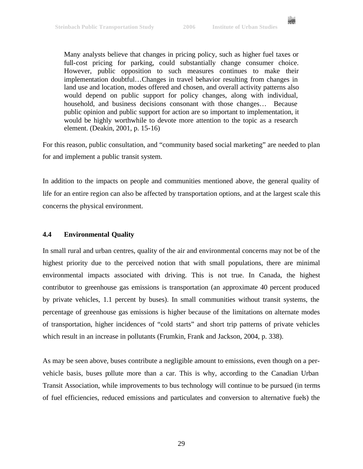

Many analysts believe that changes in pricing policy, such as higher fuel taxes or full-cost pricing for parking, could substantially change consumer choice. However, public opposition to such measures continues to make their implementation doubtful…Changes in travel behavior resulting from changes in land use and location, modes offered and chosen, and overall activity patterns also would depend on public support for policy changes, along with individual, household, and business decisions consonant with those changes… Because public opinion and public support for action are so important to implementation, it would be highly worthwhile to devote more attention to the topic as a research element. (Deakin, 2001, p. 15-16)

For this reason, public consultation, and "community based social marketing" are needed to plan for and implement a public transit system.

In addition to the impacts on people and communities mentioned above, the general quality of life for an entire region can also be affected by transportation options, and at the largest scale this concerns the physical environment.

### **4.4 Environmental Quality**

In small rural and urban centres, quality of the air and environmental concerns may not be of the highest priority due to the perceived notion that with small populations, there are minimal environmental impacts associated with driving. This is not true. In Canada, the highest contributor to greenhouse gas emissions is transportation (an approximate 40 percent produced by private vehicles, 1.1 percent by buses). In small communities without transit systems, the percentage of greenhouse gas emissions is higher because of the limitations on alternate modes of transportation, higher incidences of "cold starts" and short trip patterns of private vehicles which result in an increase in pollutants (Frumkin, Frank and Jackson, 2004, p. 338).

As may be seen above, buses contribute a negligible amount to emissions, even though on a pervehicle basis, buses pollute more than a car. This is why, according to the Canadian Urban Transit Association, while improvements to bus technology will continue to be pursued (in terms of fuel efficiencies, reduced emissions and particulates and conversion to alternative fuels) the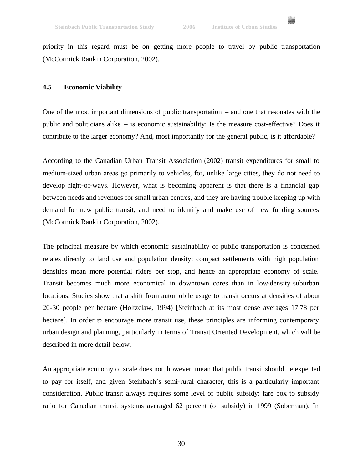

priority in this regard must be on getting more people to travel by public transportation (McCormick Rankin Corporation, 2002).

### **4.5 Economic Viability**

One of the most important dimensions of public transportation – and one that resonates with the public and politicians alike – is economic sustainability: Is the measure cost-effective? Does it contribute to the larger economy? And, most importantly for the general public, is it affordable?

According to the Canadian Urban Transit Association (2002) transit expenditures for small to medium-sized urban areas go primarily to vehicles, for, unlike large cities, they do not need to develop right-of-ways. However, what is becoming apparent is that there is a financial gap between needs and revenues for small urban centres, and they are having trouble keeping up with demand for new public transit, and need to identify and make use of new funding sources (McCormick Rankin Corporation, 2002).

The principal measure by which economic sustainability of public transportation is concerned relates directly to land use and population density: compact settlements with high population densities mean more potential riders per stop, and hence an appropriate economy of scale. Transit becomes much more economical in downtown cores than in low-density suburban locations. Studies show that a shift from automobile usage to transit occurs at densities of about 20-30 people per hectare (Holtzclaw, 1994) [Steinbach at its most dense averages 17.78 per hectare]. In order to encourage more transit use, these principles are informing contemporary urban design and planning, particularly in terms of Transit Oriented Development, which will be described in more detail below.

An appropriate economy of scale does not, however, mean that public transit should be expected to pay for itself, and given Steinbach's semi-rural character, this is a particularly important consideration. Public transit always requires some level of public subsidy: fare box to subsidy ratio for Canadian transit systems averaged 62 percent (of subsidy) in 1999 (Soberman). In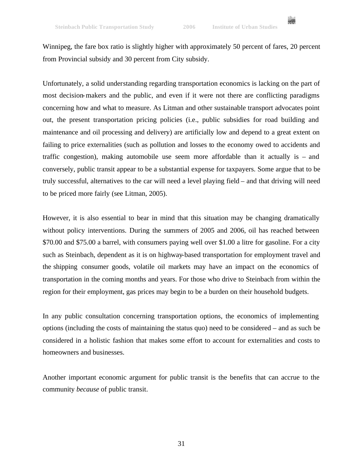

Winnipeg, the fare box ratio is slightly higher with approximately 50 percent of fares, 20 percent from Provincial subsidy and 30 percent from City subsidy.

Unfortunately, a solid understanding regarding transportation economics is lacking on the part of most decision-makers and the public, and even if it were not there are conflicting paradigms concerning how and what to measure. As Litman and other sustainable transport advocates point out, the present transportation pricing policies (i.e., public subsidies for road building and maintenance and oil processing and delivery) are artificially low and depend to a great extent on failing to price externalities (such as pollution and losses to the economy owed to accidents and traffic congestion), making automobile use seem more affordable than it actually is – and conversely, public transit appear to be a substantial expense for taxpayers. Some argue that to be truly successful, alternatives to the car will need a level playing field – and that driving will need to be priced more fairly (see Litman, 2005).

However, it is also essential to bear in mind that this situation may be changing dramatically without policy interventions. During the summers of 2005 and 2006, oil has reached between \$70.00 and \$75.00 a barrel, with consumers paying well over \$1.00 a litre for gasoline. For a city such as Steinbach, dependent as it is on highway-based transportation for employment travel and the shipping consumer goods, volatile oil markets may have an impact on the economics of transportation in the coming months and years. For those who drive to Steinbach from within the region for their employment, gas prices may begin to be a burden on their household budgets.

In any public consultation concerning transportation options, the economics of implementing options (including the costs of maintaining the status quo) need to be considered – and as such be considered in a holistic fashion that makes some effort to account for externalities and costs to homeowners and businesses.

Another important economic argument for public transit is the benefits that can accrue to the community *because* of public transit.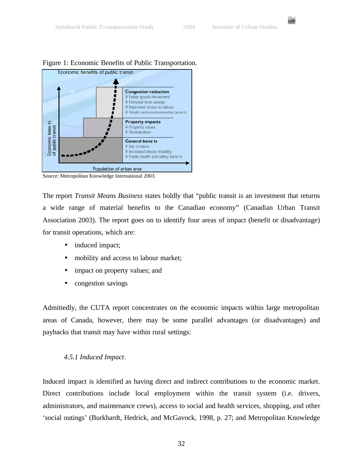



Figure 1: Economic Benefits of Public Transportation.

The report *Transit Means Business* states boldly that "public transit is an investment that returns a wide range of material benefits to the Canadian economy" (Canadian Urban Transit Association 2003). The report goes on to identify four areas of impact (benefit or disadvantage) for transit operations, which are:

- induced impact;
- mobility and access to labour market;
- impact on property values; and
- congestion savings

Admittedly, the CUTA report concentrates on the economic impacts within large metropolitan areas of Canada, however, there may be some parallel advantages (or disadvantages) and paybacks that transit may have within rural settings:

### *4.5.1 Induced Impact*.

Induced impact is identified as having direct and indirect contributions to the economic market. Direct contributions include local employment within the transit system (i.e. drivers, administrators, and maintenance crews), access to social and health services, shopping, and other 'social outings' (Burkhardt, Hedrick, and McGavock, 1998, p. 27; and Metropolitan Knowledge

Source: Metropolitan Knowledge International 2003.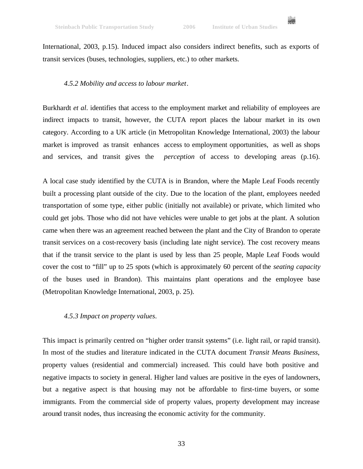

International, 2003, p.15). Induced impact also considers indirect benefits, such as exports of transit services (buses, technologies, suppliers, etc.) to other markets.

### *4.5.2 Mobility and access to labour market*.

Burkhardt *et al*. identifies that access to the employment market and reliability of employees are indirect impacts to transit, however, the CUTA report places the labour market in its own category. According to a UK article (in Metropolitan Knowledge International, 2003) the labour market is improved as transit enhances access to employment opportunities, as well as shops and services, and transit gives the *perception* of access to developing areas (p.16).

A local case study identified by the CUTA is in Brandon, where the Maple Leaf Foods recently built a processing plant outside of the city. Due to the location of the plant, employees needed transportation of some type, either public (initially not available) or private, which limited who could get jobs. Those who did not have vehicles were unable to get jobs at the plant. A solution came when there was an agreement reached between the plant and the City of Brandon to operate transit services on a cost-recovery basis (including late night service). The cost recovery means that if the transit service to the plant is used by less than 25 people, Maple Leaf Foods would cover the cost to "fill" up to 25 spots (which is approximately 60 percent of the *seating capacity* of the buses used in Brandon). This maintains plant operations and the employee base (Metropolitan Knowledge International, 2003, p. 25).

### *4.5.3 Impact on property values*.

This impact is primarily centred on "higher order transit systems" (i.e. light rail, or rapid transit). In most of the studies and literature indicated in the CUTA document *Transit Means Business*, property values (residential and commercial) increased. This could have both positive and negative impacts to society in general. Higher land values are positive in the eyes of landowners, but a negative aspect is that housing may not be affordable to first-time buyers, or some immigrants. From the commercial side of property values, property development may increase around transit nodes, thus increasing the economic activity for the community.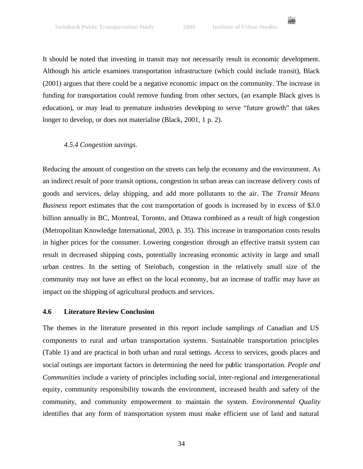

It should be noted that investing in transit may not necessarily result in economic development. Although his article examines transportation infrastructure (which could include transit), Black (2001) argues that there could be a negative economic impact on the community. The increase in funding for transportation could remove funding from other sectors, (an example Black gives is education), or may lead to premature industries developing to serve "future growth" that takes longer to develop, or does not materialise (Black, 2001, 1 p. 2).

### *4.5.4 Congestion savings*.

Reducing the amount of congestion on the streets can help the economy and the environment. As an indirect result of poor transit options, congestion in urban areas can increase delivery costs of goods and services, delay shipping, and add more pollutants to the air. The *Transit Means Business* report estimates that the cost transportation of goods is increased by in excess of \$3.0 billion annually in BC, Montreal, Toronto, and Ottawa combined as a result of high congestion (Metropolitan Knowledge International, 2003, p. 35). This increase in transportation costs results in higher prices for the consumer. Lowering congestion through an effective transit system can result in decreased shipping costs, potentially increasing economic activity in large and small urban centres. In the setting of Steinbach, congestion in the relatively small size of the community may not have an effect on the local economy, but an increase of traffic may have an impact on the shipping of agricultural products and services.

### **4.6 Literature Review Conclusion**

The themes in the literature presented in this report include samplings of Canadian and US components to rural and urban transportation systems. Sustainable transportation principles (Table 1) and are practical in both urban and rural settings. *Access* to services, goods places and social outings are important factors in determining the need for public transportation. *People and Communities* include a variety of principles including social, inter-regional and intergenerational equity, community responsibility towards the environment, increased health and safety of the community, and community empowerment to maintain the system. *Environmental Quality* identifies that any form of transportation system must make efficient use of land and natural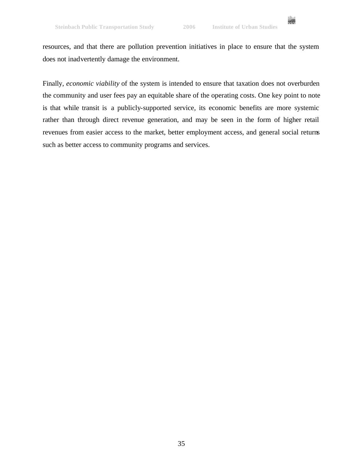

resources, and that there are pollution prevention initiatives in place to ensure that the system does not inadvertently damage the environment.

Finally, *economic viability* of the system is intended to ensure that taxation does not overburden the community and user fees pay an equitable share of the operating costs. One key point to note is that while transit is a publicly-supported service, its economic benefits are more systemic rather than through direct revenue generation, and may be seen in the form of higher retail revenues from easier access to the market, better employment access, and general social returns such as better access to community programs and services.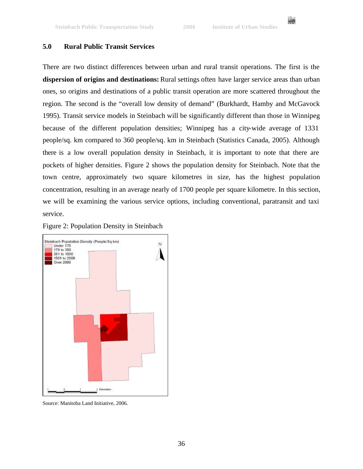### **5.0 Rural Public Transit Services**

There are two distinct differences between urban and rural transit operations. The first is the **dispersion of origins and destinations:** Rural settings often have larger service areas than urban ones, so origins and destinations of a public transit operation are more scattered throughout the region. The second is the "overall low density of demand" (Burkhardt, Hamby and McGavock 1995). Transit service models in Steinbach will be significantly different than those in Winnipeg because of the different population densities; Winnipeg has a city-wide average of 1331 people/sq. km compared to 360 people/sq. km in Steinbach (Statistics Canada, 2005). Although there is a low overall population density in Steinbach, it is important to note that there are pockets of higher densities. Figure 2 shows the population density for Steinbach. Note that the town centre, approximately two square kilometres in size, has the highest population concentration, resulting in an average nearly of 1700 people per square kilometre. In this section, we will be examining the various service options, including conventional, paratransit and taxi service.





Source: Manitoba Land Initiative, 2006.

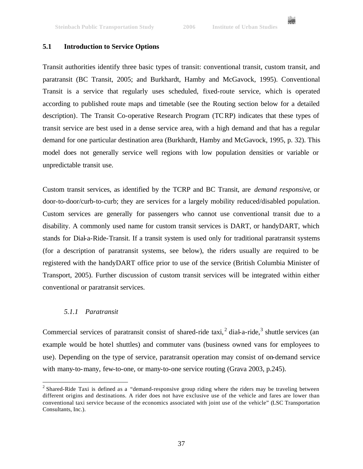

### **5.1 Introduction to Service Options**

Transit authorities identify three basic types of transit: conventional transit, custom transit, and paratransit (BC Transit, 2005; and Burkhardt, Hamby and McGavock, 1995). Conventional Transit is a service that regularly uses scheduled, fixed-route service, which is operated according to published route maps and timetable (see the Routing section below for a detailed description). The Transit Co-operative Research Program (TCRP) indicates that these types of transit service are best used in a dense service area, with a high demand and that has a regular demand for one particular destination area (Burkhardt, Hamby and McGavock, 1995, p. 32). This model does not generally service well regions with low population densities or variable or unpredictable transit use.

Custom transit services, as identified by the TCRP and BC Transit, are *demand responsive*, or door-to-door/curb-to-curb; they are services for a largely mobility reduced/disabled population. Custom services are generally for passengers who cannot use conventional transit due to a disability. A commonly used name for custom transit services is DART, or handyDART, which stands for Dial-a-Ride-Transit. If a transit system is used only for traditional paratransit systems (for a description of paratransit systems, see below), the riders usually are required to be registered with the handyDART office prior to use of the service (British Columbia Minister of Transport, 2005). Further discussion of custom transit services will be integrated within either conventional or paratransit services.

# *5.1.1 Paratransit*

 $\overline{a}$ 

Commercial services of paratransit consist of shared-ride taxi,  $2$  dial-a-ride,  $3$  shuttle services (an example would be hotel shuttles) and commuter vans (business owned vans for employees to use). Depending on the type of service, paratransit operation may consist of on-demand service with many-to-many, few-to-one, or many-to-one service routing (Grava 2003, p.245).

<sup>&</sup>lt;sup>2</sup> Shared-Ride Taxi is defined as a "demand-responsive group riding where the riders may be traveling between different origins and destinations. A rider does not have exclusive use of the vehicle and fares are lower than conventional taxi service because of the economics associated with joint use of the vehicle" (LSC Transportation Consultants, Inc.).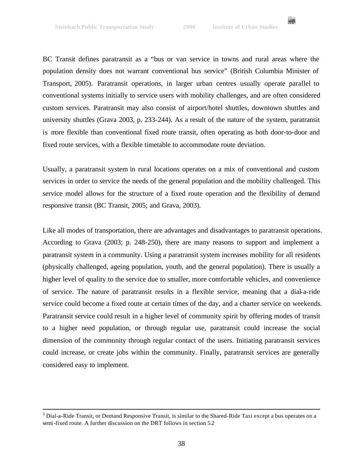$\overline{a}$ 



BC Transit defines paratransit as a "bus or van service in towns and rural areas where the population density does not warrant conventional bus service" (British Columbia Minister of Transport, 2005). Paratransit operations, in larger urban centres usually operate parallel to conventional systems initially to service users with mobility challenges, and are often considered custom services. Paratransit may also consist of airport/hotel shuttles, downtown shuttles and university shuttles (Grava 2003, p. 233-244). As a result of the nature of the system, paratransit is more flexible than conventional fixed route transit, often operating as both door-to-door and fixed route services, with a flexible timetable to accommodate route deviation.

Usually, a paratransit system in rural locations operates on a mix of conventional and custom services in order to service the needs of the general population and the mobility challenged. This service model allows for the structure of a fixed route operation and the flexibility of demand responsive transit (BC Transit, 2005; and Grava, 2003).

Like all modes of transportation, there are advantages and disadvantages to paratransit operations. According to Grava (2003; p. 248-250), there are many reasons to support and implement a paratransit system in a community. Using a paratransit system increases mobility for all residents (physically challenged, ageing population, youth, and the general population). There is usually a higher level of quality to the service due to smaller, more comfortable vehicles, and convenience of service. The nature of paratransit results in a flexible service, meaning that a dial-a-ride service could become a fixed route at certain times of the day, and a charter service on weekends. Paratransit service could result in a higher level of community spirit by offering modes of transit to a higher need population, or through regular use, paratransit could increase the social dimension of the community through regular contact of the users. Initiating paratransit services could increase, or create jobs within the community. Finally, paratransit services are generally considered easy to implement.

 $3$  Dial-a-Ride Transit, or Demand Responsive Transit, is similar to the Shared-Ride Taxi except a bus operates on a semi-fixed route. A further discussion on the DRT follows in section 5.2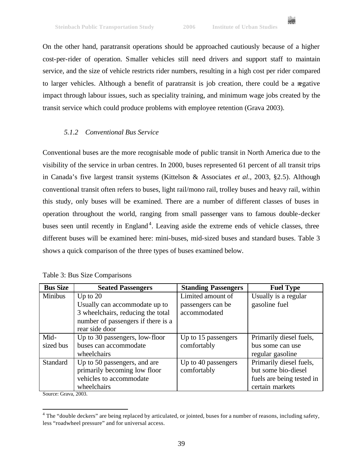

On the other hand, paratransit operations should be approached cautiously because of a higher cost-per-rider of operation. Smaller vehicles still need drivers and support staff to maintain service, and the size of vehicle restricts rider numbers, resulting in a high cost per rider compared to larger vehicles. Although a benefit of paratransit is job creation, there could be a negative impact through labour issues, such as speciality training, and minimum wage jobs created by the transit service which could produce problems with employee retention (Grava 2003).

# *5.1.2 Conventional Bus Service*

Conventional buses are the more recognisable mode of public transit in North America due to the visibility of the service in urban centres. In 2000, buses represented 61 percent of all transit trips in Canada's five largest transit systems (Kittelson & Associates *et al*., 2003, §2.5). Although conventional transit often refers to buses, light rail/mono rail, trolley buses and heavy rail, within this study, only buses will be examined. There are a number of different classes of buses in operation throughout the world, ranging from small passenger vans to famous double-decker buses seen until recently in England<sup>4</sup>. Leaving aside the extreme ends of vehicle classes, three different buses will be examined here: mini-buses, mid-sized buses and standard buses. Table 3 shows a quick comparison of the three types of buses examined below.

| <b>Bus Size</b> | <b>Seated Passengers</b>           | <b>Standing Passengers</b> | <b>Fuel Type</b>          |
|-----------------|------------------------------------|----------------------------|---------------------------|
| Minibus         | Up to $20$                         | Limited amount of          | Usually is a regular      |
|                 | Usually can accommodate up to      | passengers can be          | gasoline fuel             |
|                 | 3 wheelchairs, reducing the total  | accommodated               |                           |
|                 | number of passengers if there is a |                            |                           |
|                 | rear side door                     |                            |                           |
| Mid-            | Up to 30 passengers, low-floor     | Up to 15 passengers        | Primarily diesel fuels,   |
| sized bus       | buses can accommodate              | comfortably                | bus some can use          |
|                 | wheelchairs                        |                            | regular gasoline          |
| <b>Standard</b> | Up to 50 passengers, and are       | Up to 40 passengers        | Primarily diesel fuels,   |
|                 | primarily becoming low floor       | comfortably                | but some bio-diesel       |
|                 | vehicles to accommodate            |                            | fuels are being tested in |
|                 | wheelchairs                        |                            | certain markets           |

|  |  |  |  | Table 3: Bus Size Comparisons |
|--|--|--|--|-------------------------------|
|--|--|--|--|-------------------------------|

Source: Grava, 2003.

 $\overline{a}$ 

 $4$  The "double deckers" are being replaced by articulated, or jointed, buses for a number of reasons, including safety, less "roadwheel pressure" and for universal access.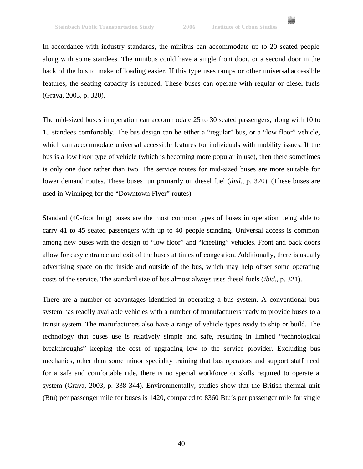

In accordance with industry standards, the minibus can accommodate up to 20 seated people along with some standees. The minibus could have a single front door, or a second door in the back of the bus to make offloading easier. If this type uses ramps or other universal accessible features, the seating capacity is reduced. These buses can operate with regular or diesel fuels (Grava, 2003, p. 320).

The mid-sized buses in operation can accommodate 25 to 30 seated passengers, along with 10 to 15 standees comfortably. The bus design can be either a "regular" bus, or a "low floor" vehicle, which can accommodate universal accessible features for individuals with mobility issues. If the bus is a low floor type of vehicle (which is becoming more popular in use), then there sometimes is only one door rather than two. The service routes for mid-sized buses are more suitable for lower demand routes. These buses run primarily on diesel fuel (*ibid*., p. 320). (These buses are used in Winnipeg for the "Downtown Flyer" routes).

Standard (40-foot long) buses are the most common types of buses in operation being able to carry 41 to 45 seated passengers with up to 40 people standing. Universal access is common among new buses with the design of "low floor" and "kneeling" vehicles. Front and back doors allow for easy entrance and exit of the buses at times of congestion. Additionally, there is usually advertising space on the inside and outside of the bus, which may help offset some operating costs of the service. The standard size of bus almost always uses diesel fuels (*ibid*., p. 321).

There are a number of advantages identified in operating a bus system. A conventional bus system has readily available vehicles with a number of manufacturers ready to provide buses to a transit system. The manufacturers also have a range of vehicle types ready to ship or build. The technology that buses use is relatively simple and safe, resulting in limited "technological breakthroughs" keeping the cost of upgrading low to the service provider. Excluding bus mechanics, other than some minor speciality training that bus operators and support staff need for a safe and comfortable ride, there is no special workforce or skills required to operate a system (Grava, 2003, p. 338-344). Environmentally, studies show that the British thermal unit (Btu) per passenger mile for buses is 1420, compared to 8360 Btu's per passenger mile for single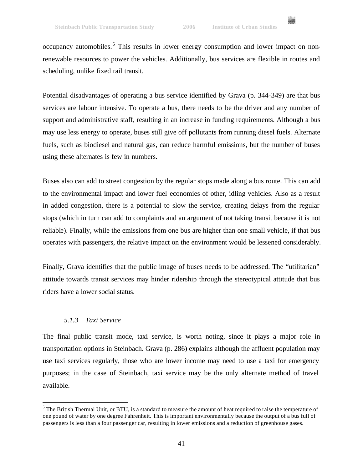occupancy automobiles.<sup>5</sup> This results in lower energy consumption and lower impact on nonrenewable resources to power the vehicles. Additionally, bus services are flexible in routes and scheduling, unlike fixed rail transit.

Potential disadvantages of operating a bus service identified by Grava (p. 344-349) are that bus services are labour intensive. To operate a bus, there needs to be the driver and any number of support and administrative staff, resulting in an increase in funding requirements. Although a bus may use less energy to operate, buses still give off pollutants from running diesel fuels. Alternate fuels, such as biodiesel and natural gas, can reduce harmful emissions, but the number of buses using these alternates is few in numbers.

Buses also can add to street congestion by the regular stops made along a bus route. This can add to the environmental impact and lower fuel economies of other, idling vehicles. Also as a result in added congestion, there is a potential to slow the service, creating delays from the regular stops (which in turn can add to complaints and an argument of not taking transit because it is not reliable). Finally, while the emissions from one bus are higher than one small vehicle, if that bus operates with passengers, the relative impact on the environment would be lessened considerably.

Finally, Grava identifies that the public image of buses needs to be addressed. The "utilitarian" attitude towards transit services may hinder ridership through the stereotypical attitude that bus riders have a lower social status.

### *5.1.3 Taxi Service*

 $\overline{a}$ 

The final public transit mode, taxi service, is worth noting, since it plays a major role in transportation options in Steinbach. Grava (p. 286) explains although the affluent population may use taxi services regularly, those who are lower income may need to use a taxi for emergency purposes; in the case of Steinbach, taxi service may be the only alternate method of travel available.

 $<sup>5</sup>$  The British Thermal Unit, or BTU, is a standard to measure the amount of heat required to raise the temperature of</sup> one pound of water by one degree Fahrenheit. This is important environmentally because the output of a bus full of passengers is less than a four passenger car, resulting in lower emissions and a reduction of greenhouse gases.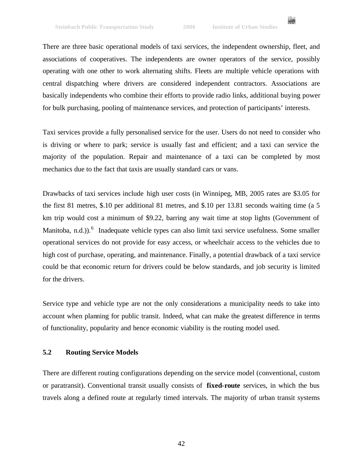

There are three basic operational models of taxi services, the independent ownership, fleet, and associations of cooperatives. The independents are owner operators of the service, possibly operating with one other to work alternating shifts. Fleets are multiple vehicle operations with central dispatching where drivers are considered independent contractors. Associations are basically independents who combine their efforts to provide radio links, additional buying power for bulk purchasing, pooling of maintenance services, and protection of participants' interests.

Taxi services provide a fully personalised service for the user. Users do not need to consider who is driving or where to park; service is usually fast and efficient; and a taxi can service the majority of the population. Repair and maintenance of a taxi can be completed by most mechanics due to the fact that taxis are usually standard cars or vans.

Drawbacks of taxi services include high user costs (in Winnipeg, MB, 2005 rates are \$3.05 for the first 81 metres, \$.10 per additional 81 metres, and \$.10 per 13.81 seconds waiting time (a 5 km trip would cost a minimum of \$9.22, barring any wait time at stop lights (Government of Manitoba, n.d.)).<sup>6</sup> Inadequate vehicle types can also limit taxi service usefulness. Some smaller operational services do not provide for easy access, or wheelchair access to the vehicles due to high cost of purchase, operating, and maintenance. Finally, a potential drawback of a taxi service could be that economic return for drivers could be below standards, and job security is limited for the drivers.

Service type and vehicle type are not the only considerations a municipality needs to take into account when planning for public transit. Indeed, what can make the greatest difference in terms of functionality, popularity and hence economic viability is the routing model used.

### **5.2 Routing Service Models**

There are different routing configurations depending on the service model (conventional, custom or paratransit). Conventional transit usually consists of **fixed-route** services, in which the bus travels along a defined route at regularly timed intervals. The majority of urban transit systems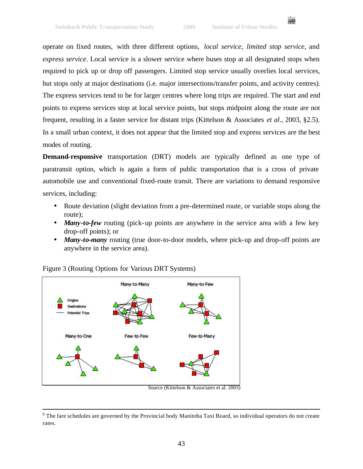

operate on fixed routes, with three different options, *local service*, *limited stop service*, and *express service*. Local service is a slower service where buses stop at all designated stops when required to pick up or drop off passengers. Limited stop service usually overlies local services, but stops only at major destinations (i.e. major intersections/transfer points, and activity centres). The express services tend to be for larger centres where long trips are required. The start and end points to express services stop at local service points, but stops midpoint along the route are not frequent, resulting in a faster service for distant trips (Kittelson & Associates *et al*., 2003, §2.5). In a small urban context, it does not appear that the limited stop and express services are the best modes of routing.

**Demand-responsive** transportation (DRT) models are typically defined as one type of paratransit option, which is again a form of public transportation that is a cross of private automobile use and conventional fixed-route transit. There are variations to demand responsive services, including:

- Route deviation (slight deviation from a pre-determined route, or variable stops along the route);
- *Many-to-few* routing (pick-up points are anywhere in the service area with a few key drop-off points); or
- *Many-to-many* routing (true door-to-door models, where pick-up and drop-off points are anywhere in the service area).



Figure 3 (Routing Options for Various DRT Systems)

 $\overline{a}$ 

Source (Kittelson & Associates et al. 2003)

<sup>&</sup>lt;sup>6</sup> The fare schedules are governed by the Provincial body Manitoba Taxi Board, so individual operators do not create rates.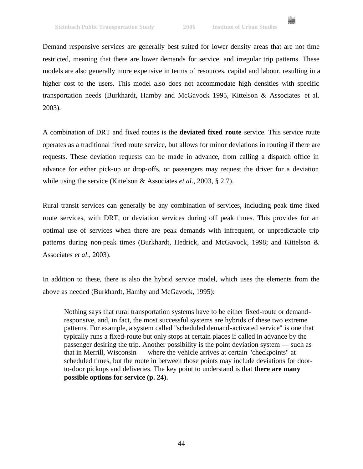

Demand responsive services are generally best suited for lower density areas that are not time restricted, meaning that there are lower demands for service, and irregular trip patterns. These models are also generally more expensive in terms of resources, capital and labour, resulting in a higher cost to the users. This model also does not accommodate high densities with specific transportation needs (Burkhardt, Hamby and McGavock 1995, Kittelson & Associates et al. 2003).

A combination of DRT and fixed routes is the **deviated fixed route** service. This service route operates as a traditional fixed route service, but allows for minor deviations in routing if there are requests. These deviation requests can be made in advance, from calling a dispatch office in advance for either pick-up or drop-offs, or passengers may request the driver for a deviation while using the service (Kittelson & Associates *et al*., 2003, § 2.7).

Rural transit services can generally be any combination of services, including peak time fixed route services, with DRT, or deviation services during off peak times. This provides for an optimal use of services when there are peak demands with infrequent, or unpredictable trip patterns during non-peak times (Burkhardt, Hedrick, and McGavock, 1998; and Kittelson & Associates *et al*., 2003).

In addition to these, there is also the hybrid service model, which uses the elements from the above as needed (Burkhardt, Hamby and McGavock, 1995):

Nothing says that rural transportation systems have to be either fixed-route or demandresponsive, and, in fact, the most successful systems are hybrids of these two extreme patterns. For example, a system called "scheduled demand-activated service" is one that typically runs a fixed-route but only stops at certain places if called in advance by the passenger desiring the trip. Another possibility is the point deviation system — such as that in Merrill, Wisconsin — where the vehicle arrives at certain "checkpoints" at scheduled times, but the route in between those points may include deviations for doorto-door pickups and deliveries. The key point to understand is that **there are many possible options for service (p. 24).**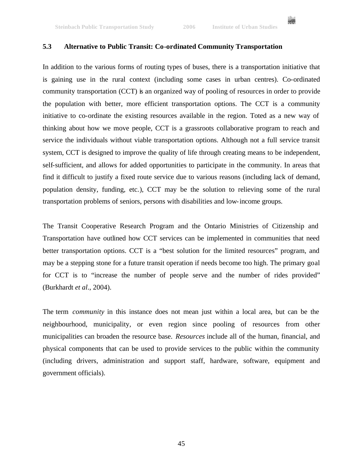

# **5.3 Alternative to Public Transit: Co-ordinated Community Transportation**

In addition to the various forms of routing types of buses, there is a transportation initiative that is gaining use in the rural context (including some cases in urban centres). Co-ordinated community transportation (CCT) is an organized way of pooling of resources in order to provide the population with better, more efficient transportation options. The CCT is a community initiative to co-ordinate the existing resources available in the region. Toted as a new way of thinking about how we move people, CCT is a grassroots collaborative program to reach and service the individuals without viable transportation options. Although not a full service transit system, CCT is designed to improve the quality of life through creating means to be independent, self-sufficient, and allows for added opportunities to participate in the community. In areas that find it difficult to justify a fixed route service due to various reasons (including lack of demand, population density, funding, etc.), CCT may be the solution to relieving some of the rural transportation problems of seniors, persons with disabilities and low-income groups.

The Transit Cooperative Research Program and the Ontario Ministries of Citizenship and Transportation have outlined how CCT services can be implemented in communities that need better transportation options. CCT is a "best solution for the limited resources" program, and may be a stepping stone for a future transit operation if needs become too high. The primary goal for CCT is to "increase the number of people serve and the number of rides provided" (Burkhardt *et al*., 2004).

The term *community* in this instance does not mean just within a local area, but can be the neighbourhood, municipality, or even region since pooling of resources from other municipalities can broaden the resource base. *Resources* include all of the human, financial, and physical components that can be used to provide services to the public within the community (including drivers, administration and support staff, hardware, software, equipment and government officials).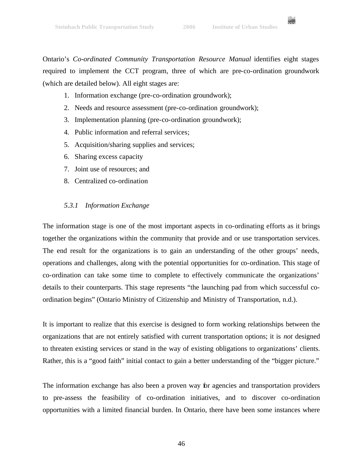

Ontario's *Co-ordinated Community Transportation Resource Manual* identifies eight stages required to implement the CCT program, three of which are pre-co-ordination groundwork (which are detailed below). All eight stages are:

- 1. Information exchange (pre-co-ordination groundwork);
- 2. Needs and resource assessment (pre-co-ordination groundwork);
- 3. Implementation planning (pre-co-ordination groundwork);
- 4. Public information and referral services;
- 5. Acquisition/sharing supplies and services;
- 6. Sharing excess capacity
- 7. Joint use of resources; and
- 8. Centralized co-ordination

# *5.3.1 Information Exchange*

The information stage is one of the most important aspects in co-ordinating efforts as it brings together the organizations within the community that provide and or use transportation services. The end result for the organizations is to gain an understanding of the other groups' needs, operations and challenges, along with the potential opportunities for co-ordination. This stage of co-ordination can take some time to complete to effectively communicate the organizations' details to their counterparts. This stage represents "the launching pad from which successful coordination begins" (Ontario Ministry of Citizenship and Ministry of Transportation, n.d.).

It is important to realize that this exercise is designed to form working relationships between the organizations that are not entirely satisfied with current transportation options; it is *not* designed to threaten existing services or stand in the way of existing obligations to organizations' clients. Rather, this is a "good faith" initial contact to gain a better understanding of the "bigger picture."

The information exchange has also been a proven way for agencies and transportation providers to pre-assess the feasibility of co-ordination initiatives, and to discover co-ordination opportunities with a limited financial burden. In Ontario, there have been some instances where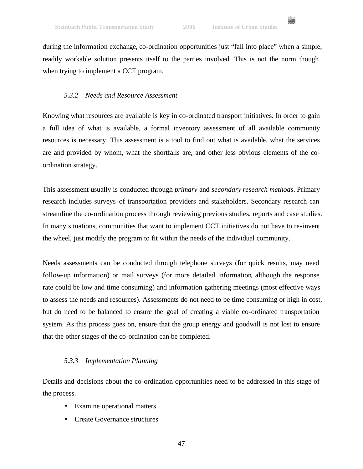

during the information exchange, co-ordination opportunities just "fall into place" when a simple, readily workable solution presents itself to the parties involved. This is not the norm though when trying to implement a CCT program.

### *5.3.2 Needs and Resource Assessment*

Knowing what resources are available is key in co-ordinated transport initiatives. In order to gain a full idea of what is available, a formal inventory assessment of all available community resources is necessary. This assessment is a tool to find out what is available, what the services are and provided by whom, what the shortfalls are, and other less obvious elements of the coordination strategy.

This assessment usually is conducted through *primary* and *secondary research methods*. Primary research includes surveys of transportation providers and stakeholders. Secondary research can streamline the co-ordination process through reviewing previous studies, reports and case studies. In many situations, communities that want to implement CCT initiatives do not have to re-invent the wheel, just modify the program to fit within the needs of the individual community.

Needs assessments can be conducted through telephone surveys (for quick results, may need follow-up information) or mail surveys (for more detailed information, although the response rate could be low and time consuming) and information gathering meetings (most effective ways to assess the needs and resources). Assessments do not need to be time consuming or high in cost, but do need to be balanced to ensure the goal of creating a viable co-ordinated transportation system. As this process goes on, ensure that the group energy and goodwill is not lost to ensure that the other stages of the co-ordination can be completed.

#### *5.3.3 Implementation Planning*

Details and decisions about the co-ordination opportunities need to be addressed in this stage of the process.

- Examine operational matters
- Create Governance structures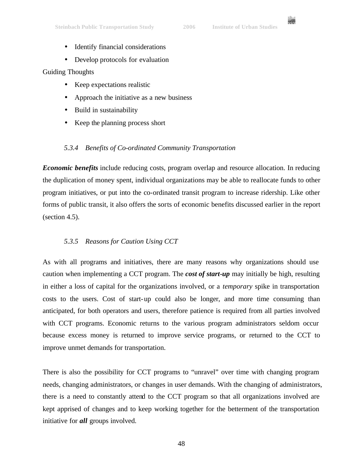

- Identify financial considerations
- Develop protocols for evaluation

### Guiding Thoughts

- Keep expectations realistic
- Approach the initiative as a new business
- Build in sustainability
- Keep the planning process short

# *5.3.4 Benefits of Co-ordinated Community Transportation*

*Economic benefits* include reducing costs, program overlap and resource allocation. In reducing the duplication of money spent, individual organizations may be able to reallocate funds to other program initiatives, or put into the co-ordinated transit program to increase ridership. Like other forms of public transit, it also offers the sorts of economic benefits discussed earlier in the report (section 4.5).

# *5.3.5 Reasons for Caution Using CCT*

As with all programs and initiatives, there are many reasons why organizations should use caution when implementing a CCT program. The *cost of start-up* may initially be high, resulting in either a loss of capital for the organizations involved, or a *temporary* spike in transportation costs to the users. Cost of start-up could also be longer, and more time consuming than anticipated, for both operators and users, therefore patience is required from all parties involved with CCT programs. Economic returns to the various program administrators seldom occur because excess money is returned to improve service programs, or returned to the CCT to improve unmet demands for transportation.

There is also the possibility for CCT programs to "unravel" over time with changing program needs, changing administrators, or changes in user demands. With the changing of administrators, there is a need to constantly attend to the CCT program so that all organizations involved are kept apprised of changes and to keep working together for the betterment of the transportation initiative for *all* groups involved.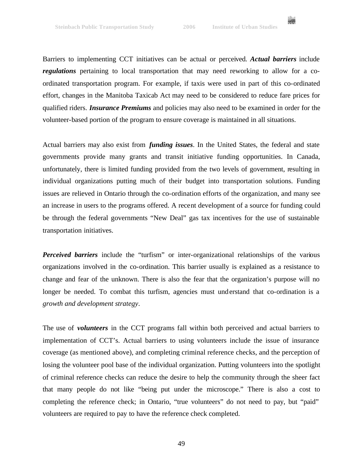

Barriers to implementing CCT initiatives can be actual or perceived. *Actual barriers* include *regulations* pertaining to local transportation that may need reworking to allow for a coordinated transportation program. For example, if taxis were used in part of this co-ordinated effort, changes in the Manitoba Taxicab Act may need to be considered to reduce fare prices for qualified riders. *Insurance Premiums* and policies may also need to be examined in order for the volunteer-based portion of the program to ensure coverage is maintained in all situations.

Actual barriers may also exist from *funding issues*. In the United States, the federal and state governments provide many grants and transit initiative funding opportunities. In Canada, unfortunately, there is limited funding provided from the two levels of government, resulting in individual organizations putting much of their budget into transportation solutions. Funding issues are relieved in Ontario through the co-ordination efforts of the organization, and many see an increase in users to the programs offered. A recent development of a source for funding could be through the federal governments "New Deal" gas tax incentives for the use of sustainable transportation initiatives.

*Perceived barriers* include the "turfism" or inter-organizational relationships of the various organizations involved in the co-ordination. This barrier usually is explained as a resistance to change and fear of the unknown. There is also the fear that the organization's purpose will no longer be needed. To combat this turfism, agencies must understand that co-ordination is a *growth and development strategy*.

The use of *volunteers* in the CCT programs fall within both perceived and actual barriers to implementation of CCT's. Actual barriers to using volunteers include the issue of insurance coverage (as mentioned above), and completing criminal reference checks, and the perception of losing the volunteer pool base of the individual organization. Putting volunteers into the spotlight of criminal reference checks can reduce the desire to help the community through the sheer fact that many people do not like "being put under the microscope." There is also a cost to completing the reference check; in Ontario, "true volunteers" do not need to pay, but "paid" volunteers are required to pay to have the reference check completed.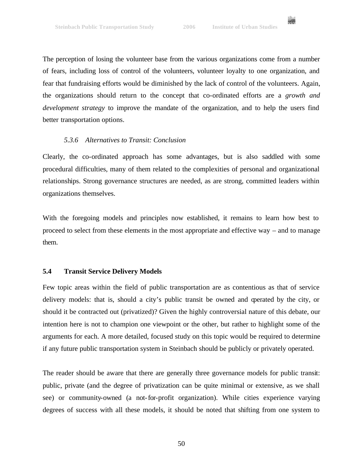

The perception of losing the volunteer base from the various organizations come from a number of fears, including loss of control of the volunteers, volunteer loyalty to one organization, and fear that fundraising efforts would be diminished by the lack of control of the volunteers. Again, the organizations should return to the concept that co-ordinated efforts are a *growth and development strategy* to improve the mandate of the organization, and to help the users find better transportation options.

# *5.3.6 Alternatives to Transit: Conclusion*

Clearly, the co-ordinated approach has some advantages, but is also saddled with some procedural difficulties, many of them related to the complexities of personal and organizational relationships. Strong governance structures are needed, as are strong, committed leaders within organizations themselves.

With the foregoing models and principles now established, it remains to learn how best to proceed to select from these elements in the most appropriate and effective way – and to manage them.

# **5.4 Transit Service Delivery Models**

Few topic areas within the field of public transportation are as contentious as that of service delivery models: that is, should a city's public transit be owned and operated by the city, or should it be contracted out (privatized)? Given the highly controversial nature of this debate, our intention here is not to champion one viewpoint or the other, but rather to highlight some of the arguments for each. A more detailed, focused study on this topic would be required to determine if any future public transportation system in Steinbach should be publicly or privately operated.

The reader should be aware that there are generally three governance models for public transit: public, private (and the degree of privatization can be quite minimal or extensive, as we shall see) or community-owned (a not-for-profit organization). While cities experience varying degrees of success with all these models, it should be noted that shifting from one system to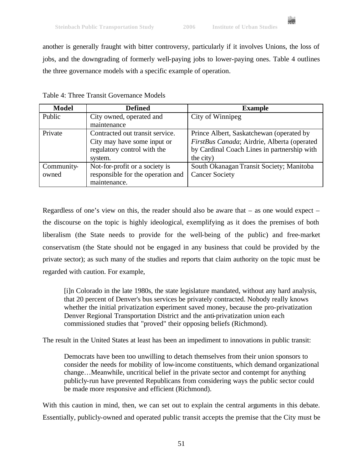another is generally fraught with bitter controversy, particularly if it involves Unions, the loss of jobs, and the downgrading of formerly well-paying jobs to lower-paying ones. Table 4 outlines the three governance models with a specific example of operation.

| <b>Model</b> | <b>Defined</b>                    | <b>Example</b>                              |
|--------------|-----------------------------------|---------------------------------------------|
| Public       | City owned, operated and          | City of Winnipeg                            |
|              | maintenance                       |                                             |
| Private      | Contracted out transit service.   | Prince Albert, Saskatchewan (operated by    |
|              | City may have some input or       | FirstBus Canada; Airdrie, Alberta (operated |
|              | regulatory control with the       | by Cardinal Coach Lines in partnership with |
|              | system.                           | the city)                                   |
| Community-   | Not-for-profit or a society is    | South Okanagan Transit Society; Manitoba    |
| owned        | responsible for the operation and | <b>Cancer Society</b>                       |
|              | maintenance.                      |                                             |

Table 4: Three Transit Governance Models

Regardless of one's view on this, the reader should also be aware that  $-$  as one would expect  $$ the discourse on the topic is highly ideological, exemplifying as it does the premises of both liberalism (the State needs to provide for the well-being of the public) and free-market conservatism (the State should not be engaged in any business that could be provided by the private sector); as such many of the studies and reports that claim authority on the topic must be regarded with caution. For example,

[i]n Colorado in the late 1980s, the state legislature mandated, without any hard analysis, that 20 percent of Denver's bus services be privately contracted. Nobody really knows whether the initial privatization experiment saved money, because the pro-privatization Denver Regional Transportation District and the anti-privatization union each commissioned studies that "proved" their opposing beliefs (Richmond).

The result in the United States at least has been an impediment to innovations in public transit:

Democrats have been too unwilling to detach themselves from their union sponsors to consider the needs for mobility of low-income constituents, which demand organizational change…Meanwhile, uncritical belief in the private sector and contempt for anything publicly-run have prevented Republicans from considering ways the public sector could be made more responsive and efficient (Richmond).

With this caution in mind, then, we can set out to explain the central arguments in this debate. Essentially, publicly-owned and operated public transit accepts the premise that the City must be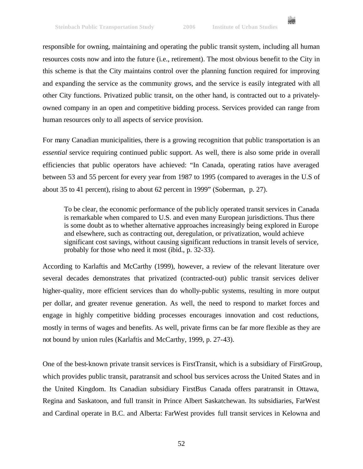

responsible for owning, maintaining and operating the public transit system, including all human resources costs now and into the future (i.e., retirement). The most obvious benefit to the City in this scheme is that the City maintains control over the planning function required for improving and expanding the service as the community grows, and the service is easily integrated with all other City functions. Privatized public transit, on the other hand, is contracted out to a privatelyowned company in an open and competitive bidding process. Services provided can range from human resources only to all aspects of service provision.

For many Canadian municipalities, there is a growing recognition that public transportation is an *essential* service requiring continued public support. As well, there is also some pride in overall efficiencies that public operators have achieved: "In Canada, operating ratios have averaged between 53 and 55 percent for every year from 1987 to 1995 (compared to averages in the U.S of about 35 to 41 percent), rising to about 62 percent in 1999" (Soberman, p. 27).

To be clear, the economic performance of the publicly operated transit services in Canada is remarkable when compared to U.S. and even many European jurisdictions. Thus there is some doubt as to whether alternative approaches increasingly being explored in Europe and elsewhere, such as contracting out, deregulation, or privatization, would achieve significant cost savings, without causing significant reductions in transit levels of service, probably for those who need it most (ibid., p. 32-33).

According to Karlaftis and McCarthy (1999), however, a review of the relevant literature over several decades demonstrates that privatized (contracted-out) public transit services deliver higher-quality, more efficient services than do wholly-public systems, resulting in more output per dollar, and greater revenue generation. As well, the need to respond to market forces and engage in highly competitive bidding processes encourages innovation and cost reductions, mostly in terms of wages and benefits. As well, private firms can be far more flexible as they are not bound by union rules (Karlaftis and McCarthy, 1999, p. 27-43).

One of the best-known private transit services is FirstTransit, which is a subsidiary of FirstGroup, which provides public transit, paratransit and school bus services across the United States and in the United Kingdom. Its Canadian subsidiary FirstBus Canada offers paratransit in Ottawa, Regina and Saskatoon, and full transit in Prince Albert Saskatchewan. Its subsidiaries, FarWest and Cardinal operate in B.C. and Alberta: FarWest provides full transit services in Kelowna and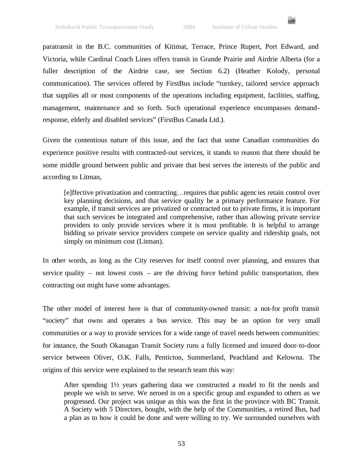

paratransit in the B.C. communities of Kitimat, Terrace, Prince Rupert, Port Edward, and Victoria, while Cardinal Coach Lines offers transit in Grande Prairie and Airdrie Alberta (for a fuller description of the Airdrie case, see Section 6.2) (Heather Kolody, personal communication). The services offered by FirstBus include "turnkey, tailored service approach that supplies all or most components of the operations including equipment, facilities, staffing, management, maintenance and so forth. Such operational experience encompasses demandresponse, elderly and disabled services" (FirstBus Canada Ltd.).

Given the contentious nature of this issue, and the fact that some Canadian communities do experience positive results with contracted-out services, it stands to reason that there should be some middle ground between public and private that best serves the interests of the public and according to Litman,

[e]ffective privatization and contracting…requires that public agenc ies retain control over key planning decisions, and that service quality be a primary performance feature. For example, if transit services are privatized or contracted out to private firms, it is important that such services be integrated and comprehensive, rather than allowing private service providers to only provide services where it is most profitable. It is helpful to arrange bidding so private service providers compete on service quality and ridership goals, not simply on minimum cost (Litman).

In other words, as long as the City reserves for itself control over planning, and ensures that service quality – not lowest costs – are the driving force behind public transportation, then contracting out might have some advantages.

The other model of interest here is that of community-owned transit: a not-for profit transit "society" that owns and operates a bus service. This may be an option for very small communities or a way to provide services for a wide range of travel needs between communities: for instance, the South Okanagan Transit Society runs a fully licensed and insured door-to-door service between Oliver, O.K. Falls, Penticton, Summerland, Peachland and Kelowna. The origins of this service were explained to the research team this way:

After spending 1½ years gathering data we constructed a model to fit the needs and people we wish to serve. We zeroed in on a specific group and expanded to others as we progressed. Our project was unique as this was the first in the province with BC Transit. A Society with 5 Directors, bought, with the help of the Communities, a retired Bus, had a plan as to how it could be done and were willing to try. We surrounded ourselves with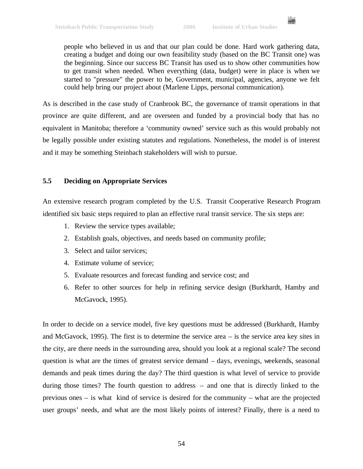

people who believed in us and that our plan could be done. Hard work gathering data, creating a budget and doing our own feasibility study (based on the BC Transit one) was the beginning. Since our success BC Transit has used us to show other communities how to get transit when needed. When everything (data, budget) were in place is when we started to "pressure" the power to be, Government, municipal, agencies, anyone we felt could help bring our project about (Marlene Lipps, personal communication).

As is described in the case study of Cranbrook BC, the governance of transit operations in that province are quite different, and are overseen and funded by a provincial body that has no equivalent in Manitoba; therefore a 'community owned' service such as this would probably not be legally possible under existing statutes and regulations. Nonetheless, the model is of interest and it may be something Steinbach stakeholders will wish to pursue.

# **5.5 Deciding on Appropriate Services**

An extensive research program completed by the U.S. Transit Cooperative Research Program identified six basic steps required to plan an effective rural transit service. The six steps are:

- 1. Review the service types available;
- 2. Establish goals, objectives, and needs based on community profile;
- 3. Select and tailor services;
- 4. Estimate volume of service;
- 5. Evaluate resources and forecast funding and service cost; and
- 6. Refer to other sources for help in refining service design (Burkhardt, Hamby and McGavock, 1995).

In order to decide on a service model, five key questions must be addressed (Burkhardt, Hamby and McGavock, 1995). The first is to determine the service area – is the service area key sites in the city, are there needs in the surrounding area, should you look at a regional scale? The second question is what are the times of greatest service demand – days, evenings, weekends, seasonal demands and peak times during the day? The third question is what level of service to provide during those times? The fourth question to address – and one that is directly linked to the previous ones – is what kind of service is desired for the community – what are the projected user groups' needs, and what are the most likely points of interest? Finally, there is a need to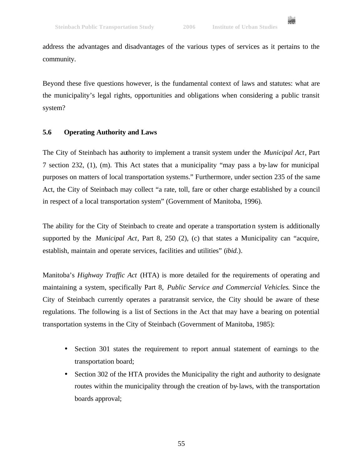

address the advantages and disadvantages of the various types of services as it pertains to the community.

Beyond these five questions however, is the fundamental context of laws and statutes: what are the municipality's legal rights, opportunities and obligations when considering a public transit system?

# **5.6 Operating Authority and Laws**

The City of Steinbach has authority to implement a transit system under the *Municipal Act*, Part 7 section 232, (1), (m). This Act states that a municipality "may pass a by-law for municipal purposes on matters of local transportation systems." Furthermore, under section 235 of the same Act, the City of Steinbach may collect "a rate, toll, fare or other charge established by a council in respect of a local transportation system" (Government of Manitoba, 1996).

The ability for the City of Steinbach to create and operate a transportation system is additionally supported by the *Municipal Act*, Part 8, 250 (2), (c) that states a Municipality can "acquire, establish, maintain and operate services, facilities and utilities" (*ibid*.).

Manitoba's *Highway Traffic Act* (HTA) is more detailed for the requirements of operating and maintaining a system, specifically Part 8, *Public Service and Commercial Vehicles*. Since the City of Steinbach currently operates a paratransit service, the City should be aware of these regulations. The following is a list of Sections in the Act that may have a bearing on potential transportation systems in the City of Steinbach (Government of Manitoba, 1985):

- Section 301 states the requirement to report annual statement of earnings to the transportation board;
- Section 302 of the HTA provides the Municipality the right and authority to designate routes within the municipality through the creation of by-laws, with the transportation boards approval;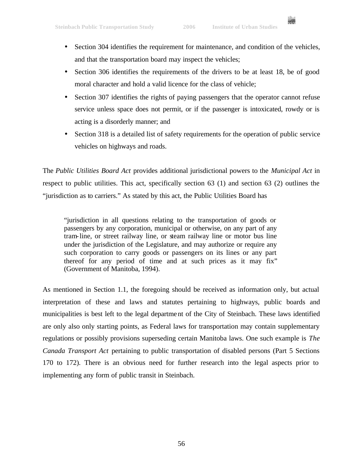e.

- Section 304 identifies the requirement for maintenance, and condition of the vehicles, and that the transportation board may inspect the vehicles;
- Section 306 identifies the requirements of the drivers to be at least 18, be of good moral character and hold a valid licence for the class of vehicle;
- Section 307 identifies the rights of paying passengers that the operator cannot refuse service unless space does not permit, or if the passenger is intoxicated, rowdy or is acting is a disorderly manner; and
- Section 318 is a detailed list of safety requirements for the operation of public service vehicles on highways and roads.

The *Public Utilities Board Act* provides additional jurisdictional powers to the *Municipal Act* in respect to public utilities. This act, specifically section 63 (1) and section 63 (2) outlines the "jurisdiction as to carriers." As stated by this act, the Public Utilities Board has

"jurisdiction in all questions relating to the transportation of goods or passengers by any corporation, municipal or otherwise, on any part of any tram-line, or street railway line, or steam railway line or motor bus line under the jurisdiction of the Legislature, and may authorize or require any such corporation to carry goods or passengers on its lines or any part thereof for any period of time and at such prices as it may fix" (Government of Manitoba, 1994).

As mentioned in Section 1.1, the foregoing should be received as information only, but actual interpretation of these and laws and statutes pertaining to highways, public boards and municipalities is best left to the legal department of the City of Steinbach. These laws identified are only also only starting points, as Federal laws for transportation may contain supplementary regulations or possibly provisions superseding certain Manitoba laws. One such example is *The Canada Transport Act* pertaining to public transportation of disabled persons (Part 5 Sections 170 to 172). There is an obvious need for further research into the legal aspects prior to implementing any form of public transit in Steinbach.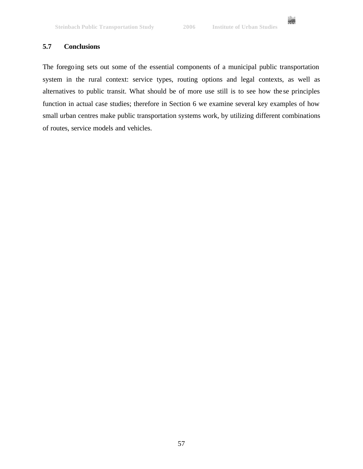

# **5.7 Conclusions**

The foregoing sets out some of the essential components of a municipal public transportation system in the rural context: service types, routing options and legal contexts, as well as alternatives to public transit. What should be of more use still is to see how the se principles function in actual case studies; therefore in Section 6 we examine several key examples of how small urban centres make public transportation systems work, by utilizing different combinations of routes, service models and vehicles.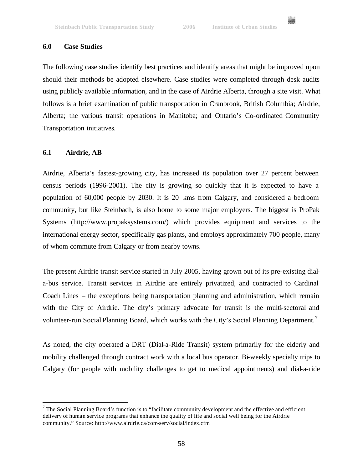

### **6.0 Case Studies**

The following case studies identify best practices and identify areas that might be improved upon should their methods be adopted elsewhere. Case studies were completed through desk audits using publicly available information, and in the case of Airdrie Alberta, through a site visit. What follows is a brief examination of public transportation in Cranbrook, British Columbia; Airdrie, Alberta; the various transit operations in Manitoba; and Ontario's Co-ordinated Community Transportation initiatives.

### **6.1 Airdrie, AB**

 $\overline{a}$ 

Airdrie, Alberta's fastest-growing city, has increased its population over 27 percent between census periods (1996-2001). The city is growing so quickly that it is expected to have a population of 60,000 people by 2030. It is 20 kms from Calgary, and considered a bedroom community, but like Steinbach, is also home to some major employers. The biggest is ProPak Systems (http://www.propaksystems.com/) which provides equipment and services to the international energy sector, specifically gas plants, and employs approximately 700 people, many of whom commute from Calgary or from nearby towns.

The present Airdrie transit service started in July 2005, having grown out of its pre-existing diala-bus service. Transit services in Airdrie are entirely privatized, and contracted to Cardinal Coach Lines – the exceptions being transportation planning and administration, which remain with the City of Airdrie. The city's primary advocate for transit is the multi-sectoral and volunteer-run Social Planning Board, which works with the City's Social Planning Department.<sup>7</sup>

As noted, the city operated a DRT (Dial-a-Ride Transit) system primarily for the elderly and mobility challenged through contract work with a local bus operator. Bi-weekly specialty trips to Calgary (for people with mobility challenges to get to medical appointments) and dial-a-ride

 $<sup>7</sup>$  The Social Planning Board's function is to "facilitate community development and the effective and efficient</sup> delivery of human service programs that enhance the quality of life and social well being for the Airdrie community." Source: http://www.airdrie.ca/com-serv/social/index.cfm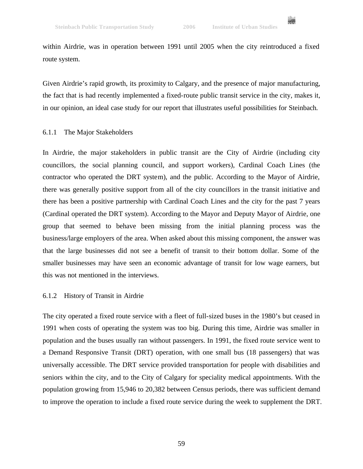

within Airdrie, was in operation between 1991 until 2005 when the city reintroduced a fixed route system.

Given Airdrie's rapid growth, its proximity to Calgary, and the presence of major manufacturing, the fact that is had recently implemented a fixed-route public transit service in the city, makes it, in our opinion, an ideal case study for our report that illustrates useful possibilities for Steinbach.

#### 6.1.1 The Major Stakeholders

In Airdrie, the major stakeholders in public transit are the City of Airdrie (including city councillors, the social planning council, and support workers), Cardinal Coach Lines (the contractor who operated the DRT system), and the public. According to the Mayor of Airdrie, there was generally positive support from all of the city councillors in the transit initiative and there has been a positive partnership with Cardinal Coach Lines and the city for the past 7 years (Cardinal operated the DRT system). According to the Mayor and Deputy Mayor of Airdrie, one group that seemed to behave been missing from the initial planning process was the business/large employers of the area. When asked about this missing component, the answer was that the large businesses did not see a benefit of transit to their bottom dollar. Some of the smaller businesses may have seen an economic advantage of transit for low wage earners, but this was not mentioned in the interviews.

#### 6.1.2 History of Transit in Airdrie

The city operated a fixed route service with a fleet of full-sized buses in the 1980's but ceased in 1991 when costs of operating the system was too big. During this time, Airdrie was smaller in population and the buses usually ran without passengers. In 1991, the fixed route service went to a Demand Responsive Transit (DRT) operation, with one small bus (18 passengers) that was universally accessible. The DRT service provided transportation for people with disabilities and seniors within the city, and to the City of Calgary for speciality medical appointments. With the population growing from 15,946 to 20,382 between Census periods, there was sufficient demand to improve the operation to include a fixed route service during the week to supplement the DRT.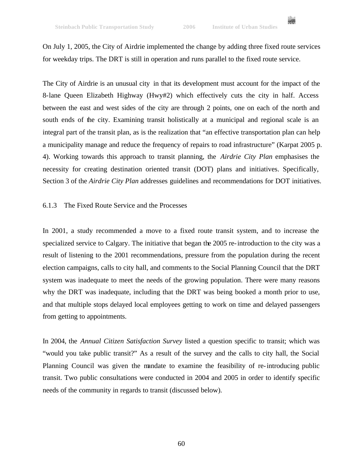

On July 1, 2005, the City of Airdrie implemented the change by adding three fixed route services for weekday trips. The DRT is still in operation and runs parallel to the fixed route service.

The City of Airdrie is an unusual city in that its development must account for the impact of the 8-lane Queen Elizabeth Highway (Hwy#2) which effectively cuts the city in half. Access between the east and west sides of the city are through 2 points, one on each of the north and south ends of the city. Examining transit holistically at a municipal and regional scale is an integral part of the transit plan, as is the realization that "an effective transportation plan can help a municipality manage and reduce the frequency of repairs to road infrastructure" (Karpat 2005 p. 4). Working towards this approach to transit planning, the *Airdrie City Plan* emphasises the necessity for creating destination oriented transit (DOT) plans and initiatives. Specifically, Section 3 of the *Airdrie City Plan* addresses guidelines and recommendations for DOT initiatives.

### 6.1.3 The Fixed Route Service and the Processes

In 2001, a study recommended a move to a fixed route transit system, and to increase the specialized service to Calgary. The initiative that began the 2005 re-introduction to the city was a result of listening to the 2001 recommendations, pressure from the population during the recent election campaigns, calls to city hall, and comments to the Social Planning Council that the DRT system was inadequate to meet the needs of the growing population. There were many reasons why the DRT was inadequate, including that the DRT was being booked a month prior to use, and that multiple stops delayed local employees getting to work on time and delayed passengers from getting to appointments.

In 2004, the *Annual Citizen Satisfaction Survey* listed a question specific to transit; which was "would you take public transit?" As a result of the survey and the calls to city hall, the Social Planning Council was given the mandate to examine the feasibility of re-introducing public transit. Two public consultations were conducted in 2004 and 2005 in order to identify specific needs of the community in regards to transit (discussed below).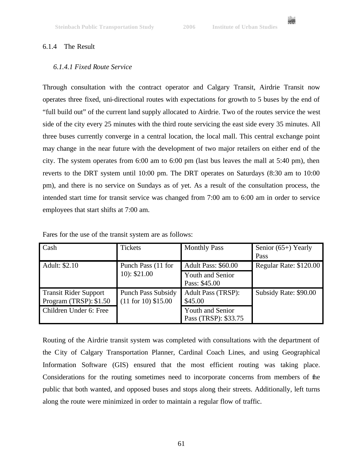

### 6.1.4 The Result

### *6.1.4.1 Fixed Route Service*

Through consultation with the contract operator and Calgary Transit, Airdrie Transit now operates three fixed, uni-directional routes with expectations for growth to 5 buses by the end of "full build out" of the current land supply allocated to Airdrie. Two of the routes service the west side of the city every 25 minutes with the third route servicing the east side every 35 minutes. All three buses currently converge in a central location, the local mall. This central exchange point may change in the near future with the development of two major retailers on either end of the city. The system operates from 6:00 am to 6:00 pm (last bus leaves the mall at 5:40 pm), then reverts to the DRT system until 10:00 pm. The DRT operates on Saturdays (8:30 am to 10:00 pm), and there is no service on Sundays as of yet. As a result of the consultation process, the intended start time for transit service was changed from 7:00 am to 6:00 am in order to service employees that start shifts at 7:00 am.

| Cash                                                   | <b>Tickets</b>                                     | <b>Monthly Pass</b>                      | Senior $(65+)$ Yearly<br>Pass |
|--------------------------------------------------------|----------------------------------------------------|------------------------------------------|-------------------------------|
| Adult: \$2.10                                          | Punch Pass (11 for                                 | Adult Pass: \$60.00                      | Regular Rate: \$120.00        |
|                                                        | $10$ : \$21.00                                     | Youth and Senior<br>Pass: \$45.00        |                               |
| <b>Transit Rider Support</b><br>Program (TRSP): \$1.50 | <b>Punch Pass Subsidy</b><br>$(11$ for 10) \$15.00 | <b>Adult Pass (TRSP):</b><br>\$45.00     | Subsidy Rate: \$90.00         |
| Children Under 6: Free                                 |                                                    | Youth and Senior<br>Pass (TRSP): \$33.75 |                               |

Fares for the use of the transit system are as follows:

Routing of the Airdrie transit system was completed with consultations with the department of the City of Calgary Transportation Planner, Cardinal Coach Lines, and using Geographical Information Software (GIS) ensured that the most efficient routing was taking place. Considerations for the routing sometimes need to incorporate concerns from members of the public that both wanted, and opposed buses and stops along their streets. Additionally, left turns along the route were minimized in order to maintain a regular flow of traffic.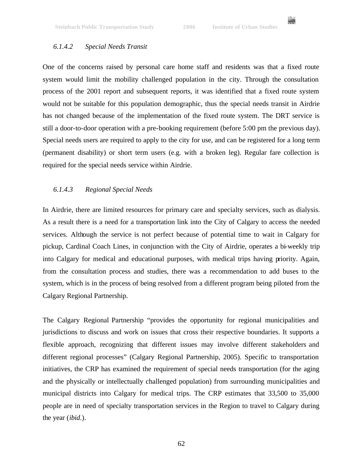

### *6.1.4.2 Special Needs Transit*

One of the concerns raised by personal care home staff and residents was that a fixed route system would limit the mobility challenged population in the city. Through the consultation process of the 2001 report and subsequent reports, it was identified that a fixed route system would not be suitable for this population demographic, thus the special needs transit in Airdrie has not changed because of the implementation of the fixed route system. The DRT service is still a door-to-door operation with a pre-booking requirement (before 5:00 pm the previous day). Special needs users are required to apply to the city for use, and can be registered for a long term (permanent disability) or short term users (e.g. with a broken leg). Regular fare collection is required for the special needs service within Airdrie.

### *6.1.4.3 Regional Special Needs*

In Airdrie, there are limited resources for primary care and specialty services, such as dialysis. As a result there is a need for a transportation link into the City of Calgary to access the needed services. Although the service is not perfect because of potential time to wait in Calgary for pickup, Cardinal Coach Lines, in conjunction with the City of Airdrie, operates a bi-weekly trip into Calgary for medical and educational purposes, with medical trips having priority. Again, from the consultation process and studies, there was a recommendation to add buses to the system, which is in the process of being resolved from a different program being piloted from the Calgary Regional Partnership.

The Calgary Regional Partnership "provides the opportunity for regional municipalities and jurisdictions to discuss and work on issues that cross their respective boundaries. It supports a flexible approach, recognizing that different issues may involve different stakeholders and different regional processes" (Calgary Regional Partnership, 2005). Specific to transportation initiatives, the CRP has examined the requirement of special needs transportation (for the aging and the physically or intellectually challenged population) from surrounding municipalities and municipal districts into Calgary for medical trips. The CRP estimates that 33,500 to 35,000 people are in need of specialty transportation services in the Region to travel to Calgary during the year (*ibid*.).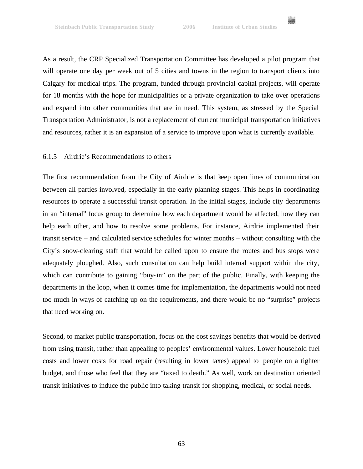

As a result, the CRP Specialized Transportation Committee has developed a pilot program that will operate one day per week out of 5 cities and towns in the region to transport clients into Calgary for medical trips. The program, funded through provincial capital projects, will operate for 18 months with the hope for municipalities or a private organization to take over operations and expand into other communities that are in need. This system, as stressed by the Special Transportation Administrator, is not a replacement of current municipal transportation initiatives and resources, rather it is an expansion of a service to improve upon what is currently available.

### 6.1.5 Airdrie's Recommendations to others

The first recommendation from the City of Airdrie is that keep open lines of communication between all parties involved, especially in the early planning stages. This helps in coordinating resources to operate a successful transit operation. In the initial stages, include city departments in an "internal" focus group to determine how each department would be affected, how they can help each other, and how to resolve some problems. For instance, Airdrie implemented their transit service – and calculated service schedules for winter months – without consulting with the City's snow-clearing staff that would be called upon to ensure the routes and bus stops were adequately ploughed. Also, such consultation can help build internal support within the city, which can contribute to gaining "buy-in" on the part of the public. Finally, with keeping the departments in the loop, when it comes time for implementation, the departments would not need too much in ways of catching up on the requirements, and there would be no "surprise" projects that need working on.

Second, to market public transportation, focus on the cost savings benefits that would be derived from using transit, rather than appealing to peoples' environmental values. Lower household fuel costs and lower costs for road repair (resulting in lower taxes) appeal to people on a tighter budget, and those who feel that they are "taxed to death." As well, work on destination oriented transit initiatives to induce the public into taking transit for shopping, medical, or social needs.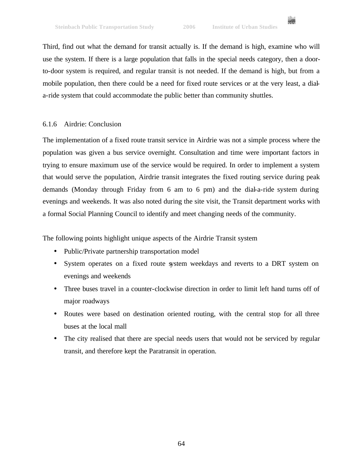

Third, find out what the demand for transit actually is. If the demand is high, examine who will use the system. If there is a large population that falls in the special needs category, then a doorto-door system is required, and regular transit is not needed. If the demand is high, but from a mobile population, then there could be a need for fixed route services or at the very least, a diala-ride system that could accommodate the public better than community shuttles.

# 6.1.6 Airdrie: Conclusion

The implementation of a fixed route transit service in Airdrie was not a simple process where the population was given a bus service overnight. Consultation and time were important factors in trying to ensure maximum use of the service would be required. In order to implement a system that would serve the population, Airdrie transit integrates the fixed routing service during peak demands (Monday through Friday from 6 am to 6 pm) and the dial-a-ride system during evenings and weekends. It was also noted during the site visit, the Transit department works with a formal Social Planning Council to identify and meet changing needs of the community.

The following points highlight unique aspects of the Airdrie Transit system

- Public/Private partnership transportation model
- System operates on a fixed route system weekdays and reverts to a DRT system on evenings and weekends
- Three buses travel in a counter-clockwise direction in order to limit left hand turns off of major roadways
- Routes were based on destination oriented routing, with the central stop for all three buses at the local mall
- The city realised that there are special needs users that would not be serviced by regular transit, and therefore kept the Paratransit in operation.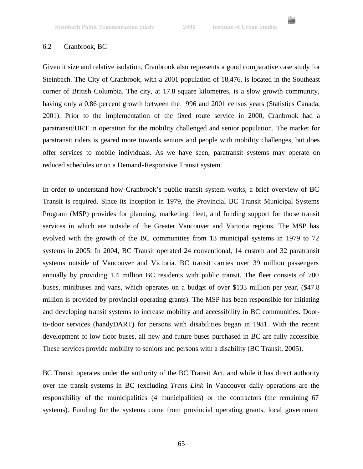

### 6.2 Cranbrook, BC

Given it size and relative isolation, Cranbrook also represents a good comparative case study for Steinbach. The City of Cranbrook, with a 2001 population of 18,476, is located in the Southeast corner of British Columbia. The city, at 17.8 square kilometres, is a slow growth community, having only a 0.86 percent growth between the 1996 and 2001 census years (Statistics Canada, 2001). Prior to the implementation of the fixed route service in 2000, Cranbrook had a paratransit/DRT in operation for the mobility challenged and senior population. The market for paratransit riders is geared more towards seniors and people with mobility challenges, but does offer services to mobile individuals. As we have seen, paratransit systems may operate on reduced schedules or on a Demand-Responsive Transit system.

In order to understand how Cranbrook's public transit system works, a brief overview of BC Transit is required. Since its inception in 1979, the Provincial BC Transit Municipal Systems Program (MSP) provides for planning, marketing, fleet, and funding support for those transit services in which are outside of the Greater Vancouver and Victoria regions. The MSP has evolved with the growth of the BC communities from 13 municipal systems in 1979 to 72 systems in 2005. In 2004, BC Transit operated 24 conventional, 14 custom and 32 paratransit systems outside of Vancouver and Victoria. BC transit carries over 39 million passengers annually by providing 1.4 million BC residents with public transit. The fleet consists of 700 buses, minibuses and vans, which operates on a budget of over \$133 million per year, (\$47.8 million is provided by provincial operating grants). The MSP has been responsible for initiating and developing transit systems to increase mobility and accessibility in BC communities. Doorto-door services (handyDART) for persons with disabilities began in 1981. With the recent development of low floor buses, all new and future buses purchased in BC are fully accessible. These services provide mobility to seniors and persons with a disability (BC Transit, 2005).

BC Transit operates under the authority of the BC Transit Act, and while it has direct authority over the transit systems in BC (excluding *Trans Link* in Vancouver daily operations are the responsibility of the municipalities (4 municipalities) or the contractors (the remaining 67 systems). Funding for the systems come from provincial operating grants, local government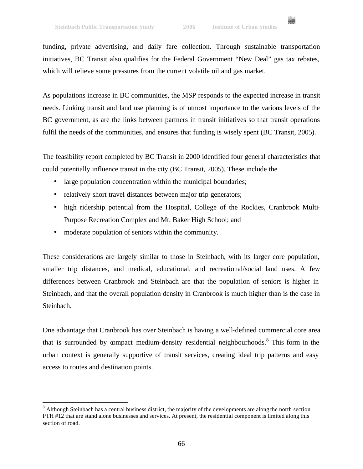ies.



As populations increase in BC communities, the MSP responds to the expected increase in transit needs. Linking transit and land use planning is of utmost importance to the various levels of the BC government, as are the links between partners in transit initiatives so that transit operations fulfil the needs of the communities, and ensures that funding is wisely spent (BC Transit, 2005).

The feasibility report completed by BC Transit in 2000 identified four general characteristics that could potentially influence transit in the city (BC Transit, 2005). These include the

- large population concentration within the municipal boundaries;
- relatively short travel distances between major trip generators;
- high ridership potential from the Hospital, College of the Rockies, Cranbrook Multi-Purpose Recreation Complex and Mt. Baker High School; and
- moderate population of seniors within the community.

 $\overline{a}$ 

These considerations are largely similar to those in Steinbach, with its larger core population, smaller trip distances, and medical, educational, and recreational/social land uses. A few differences between Cranbrook and Steinbach are that the population of seniors is higher in Steinbach, and that the overall population density in Cranbrook is much higher than is the case in Steinbach.

One advantage that Cranbrook has over Steinbach is having a well-defined commercial core area that is surrounded by compact medium-density residential neighbourhoods.<sup>8</sup> This form in the urban context is generally supportive of transit services, creating ideal trip patterns and easy access to routes and destination points.

 $8$  Although Steinbach has a central business district, the majority of the developments are along the north section PTH #12 that are stand alone businesses and services. At present, the residential component is limited along this section of road.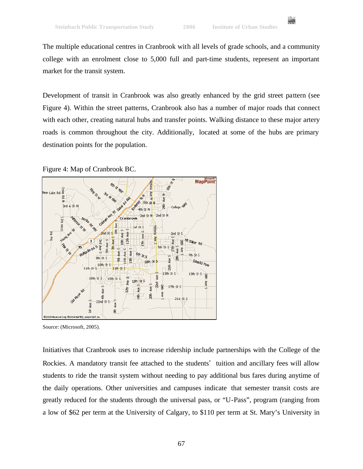

The multiple educational centres in Cranbrook with all levels of grade schools, and a community college with an enrolment close to 5,000 full and part-time students, represent an important market for the transit system.

Development of transit in Cranbrook was also greatly enhanced by the grid street pattern (see Figure 4). Within the street patterns, Cranbrook also has a number of major roads that connect with each other, creating natural hubs and transfer points. Walking distance to these major artery roads is common throughout the city. Additionally, located at some of the hubs are primary destination points for the population.





Source: (Microsoft, 2005).

Initiatives that Cranbrook uses to increase ridership include partnerships with the College of the Rockies. A mandatory transit fee attached to the students' tuition and ancillary fees will allow students to ride the transit system without needing to pay additional bus fares during anytime of the daily operations. Other universities and campuses indicate that semester transit costs are greatly reduced for the students through the universal pass, or "U-Pass", program (ranging from a low of \$62 per term at the University of Calgary, to \$110 per term at St. Mary's University in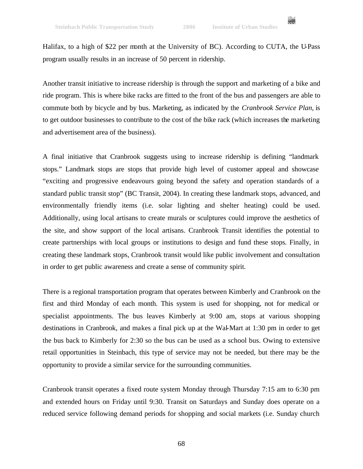※



Halifax, to a high of \$22 per month at the University of BC). According to CUTA, the U-Pass program usually results in an increase of 50 percent in ridership.

Another transit initiative to increase ridership is through the support and marketing of a bike and ride program. This is where bike racks are fitted to the front of the bus and passengers are able to commute both by bicycle and by bus. Marketing, as indicated by the *Cranbrook Service Plan*, is to get outdoor businesses to contribute to the cost of the bike rack (which increases the marketing and advertisement area of the business).

A final initiative that Cranbrook suggests using to increase ridership is defining "landmark stops." Landmark stops are stops that provide high level of customer appeal and showcase "exciting and progressive endeavours going beyond the safety and operation standards of a standard public transit stop" (BC Transit, 2004). In creating these landmark stops, advanced, and environmentally friendly items (i.e. solar lighting and shelter heating) could be used. Additionally, using local artisans to create murals or sculptures could improve the aesthetics of the site, and show support of the local artisans. Cranbrook Transit identifies the potential to create partnerships with local groups or institutions to design and fund these stops. Finally, in creating these landmark stops, Cranbrook transit would like public involvement and consultation in order to get public awareness and create a sense of community spirit.

There is a regional transportation program that operates between Kimberly and Cranbrook on the first and third Monday of each month. This system is used for shopping, not for medical or specialist appointments. The bus leaves Kimberly at 9:00 am, stops at various shopping destinations in Cranbrook, and makes a final pick up at the Wal-Mart at 1:30 pm in order to get the bus back to Kimberly for 2:30 so the bus can be used as a school bus. Owing to extensive retail opportunities in Steinbach, this type of service may not be needed, but there may be the opportunity to provide a similar service for the surrounding communities.

Cranbrook transit operates a fixed route system Monday through Thursday 7:15 am to 6:30 pm and extended hours on Friday until 9:30. Transit on Saturdays and Sunday does operate on a reduced service following demand periods for shopping and social markets (i.e. Sunday church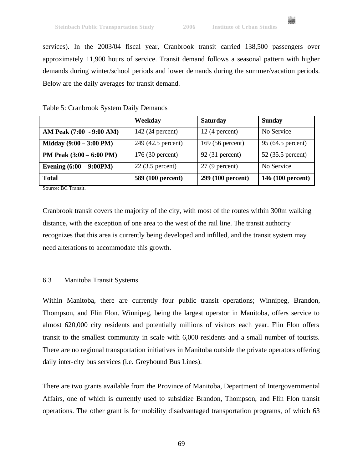

services). In the 2003/04 fiscal year, Cranbrook transit carried 138,500 passengers over approximately 11,900 hours of service. Transit demand follows a seasonal pattern with higher demands during winter/school periods and lower demands during the summer/vacation periods. Below are the daily averages for transit demand.

Table 5: Cranbrook System Daily Demands

|                               | Weekday            | <b>Saturday</b>   | <b>Sunday</b>     |
|-------------------------------|--------------------|-------------------|-------------------|
| AM Peak (7:00 - 9:00 AM)      | $142(24)$ percent) | $12(4)$ percent)  | No Service        |
| Midday (9:00 – 3:00 PM)       | 249 (42.5 percent) | 169 (56 percent)  | 95 (64.5 percent) |
| PM Peak (3:00 – 6:00 PM)      | 176 (30 percent)   | $92(31)$ percent) | 52 (35.5 percent) |
| Evening $(6:00 - 9:00$ PM $)$ | $22(3.5)$ percent) | $27(9)$ percent)  | No Service        |
| <b>Total</b>                  | 589 (100 percent)  | 299 (100 percent) | 146 (100 percent) |

Source: BC Transit.

Cranbrook transit covers the majority of the city, with most of the routes within 300m walking distance, with the exception of one area to the west of the rail line. The transit authority recognizes that this area is currently being developed and infilled, and the transit system may need alterations to accommodate this growth.

### 6.3 Manitoba Transit Systems

Within Manitoba, there are currently four public transit operations; Winnipeg, Brandon, Thompson, and Flin Flon. Winnipeg, being the largest operator in Manitoba, offers service to almost 620,000 city residents and potentially millions of visitors each year. Flin Flon offers transit to the smallest community in scale with 6,000 residents and a small number of tourists. There are no regional transportation initiatives in Manitoba outside the private operators offering daily inter-city bus services (i.e. Greyhound Bus Lines).

There are two grants available from the Province of Manitoba, Department of Intergovernmental Affairs, one of which is currently used to subsidize Brandon, Thompson, and Flin Flon transit operations. The other grant is for mobility disadvantaged transportation programs, of which 63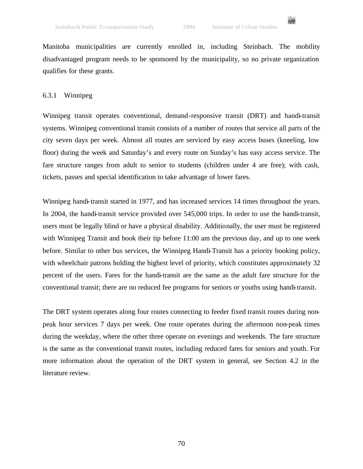Manitoba municipalities are currently enrolled in, including Steinbach. The mobility disadvantaged program needs to be sponsored by the municipality, so no private organization qualifies for these grants.

### 6.3.1 Winnipeg

Winnipeg transit operates conventional, demand-responsive transit (DRT) and handi-transit systems. Winnipeg conventional transit consists of a number of routes that service all parts of the city seven days per week. Almost all routes are serviced by easy access buses (kneeling, low floor) during the week and Saturday's and every route on Sunday's has easy access service. The fare structure ranges from adult to senior to students (children under 4 are free); with cash, tickets, passes and special identification to take advantage of lower fares.

Winnipeg handi-transit started in 1977, and has increased services 14 times throughout the years. In 2004, the handi-transit service provided over 545,000 trips. In order to use the handi-transit, users must be legally blind or have a physical disability. Additionally, the user must be registered with Winnipeg Transit and book their tip before 11:00 am the previous day, and up to one week before. Similar to other bus services, the Winnipeg Handi-Transit has a priority booking policy, with wheelchair patrons holding the highest level of priority, which constitutes approximately 32 percent of the users. Fares for the handi-transit are the same as the adult fare structure for the conventional transit; there are no reduced fee programs for seniors or youths using handi-transit.

The DRT system operates along four routes connecting to feeder fixed transit routes during nonpeak hour services 7 days per week. One route operates during the afternoon non-peak times during the weekday, where the other three operate on evenings and weekends. The fare structure is the same as the conventional transit routes, including reduced fares for seniors and youth. For more information about the operation of the DRT system in general, see Section 4.2 in the literature review.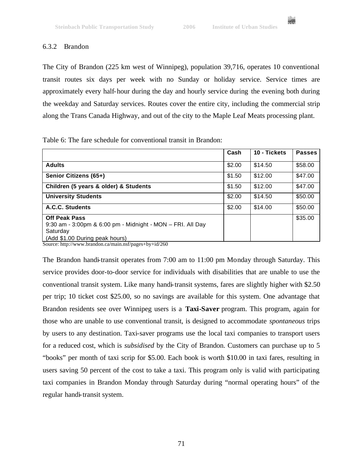

### 6.3.2 Brandon

The City of Brandon (225 km west of Winnipeg), population 39,716, operates 10 conventional transit routes six days per week with no Sunday or holiday service. Service times are approximately every half-hour during the day and hourly service during the evening both during the weekday and Saturday services. Routes cover the entire city, including the commercial strip along the Trans Canada Highway, and out of the city to the Maple Leaf Meats processing plant.

Table 6: The fare schedule for conventional transit in Brandon:

|                                                                                                                                  | Cash   | 10 - Tickets | <b>Passes</b> |
|----------------------------------------------------------------------------------------------------------------------------------|--------|--------------|---------------|
| <b>Adults</b>                                                                                                                    | \$2.00 | \$14.50      | \$58.00       |
| Senior Citizens (65+)                                                                                                            | \$1.50 | \$12.00      | \$47.00       |
| Children (5 years & older) & Students                                                                                            | \$1.50 | \$12.00      | \$47.00       |
| <b>University Students</b>                                                                                                       | \$2.00 | \$14.50      | \$50.00       |
| A.C.C. Students                                                                                                                  | \$2.00 | \$14.00      | \$50.00       |
| <b>Off Peak Pass</b><br>9:30 am - 3:00pm & 6:00 pm - Midnight - MON - FRI. All Day<br>Saturday<br>(Add \$1.00 During peak hours) |        |              | \$35.00       |

Source: http://www.brandon.ca/main.nsf/pages+by+id/260

The Brandon handi-transit operates from 7:00 am to 11:00 pm Monday through Saturday. This service provides door-to-door service for individuals with disabilities that are unable to use the conventional transit system. Like many handi-transit systems, fares are slightly higher with \$2.50 per trip; 10 ticket cost \$25.00, so no savings are available for this system. One advantage that Brandon residents see over Winnipeg users is a **Taxi-Saver** program. This program, again for those who are unable to use conventional transit, is designed to accommodate *spontaneous* trips by users to any destination. Taxi-saver programs use the local taxi companies to transport users for a reduced cost, which is *subsidised* by the City of Brandon. Customers can purchase up to 5 "books" per month of taxi scrip for \$5.00. Each book is worth \$10.00 in taxi fares, resulting in users saving 50 percent of the cost to take a taxi. This program only is valid with participating taxi companies in Brandon Monday through Saturday during "normal operating hours" of the regular handi-transit system.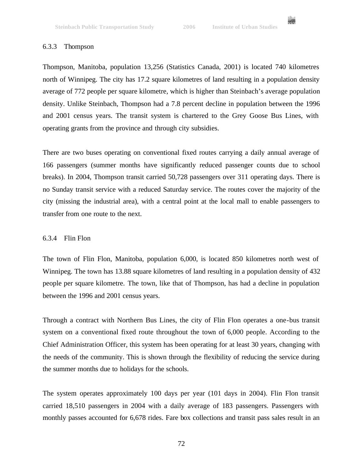

### 6.3.3 Thompson

Thompson, Manitoba, population 13,256 (Statistics Canada, 2001) is located 740 kilometres north of Winnipeg. The city has 17.2 square kilometres of land resulting in a population density average of 772 people per square kilometre, which is higher than Steinbach's average population density. Unlike Steinbach, Thompson had a 7.8 percent decline in population between the 1996 and 2001 census years. The transit system is chartered to the Grey Goose Bus Lines, with operating grants from the province and through city subsidies.

There are two buses operating on conventional fixed routes carrying a daily annual average of 166 passengers (summer months have significantly reduced passenger counts due to school breaks). In 2004, Thompson transit carried 50,728 passengers over 311 operating days. There is no Sunday transit service with a reduced Saturday service. The routes cover the majority of the city (missing the industrial area), with a central point at the local mall to enable passengers to transfer from one route to the next.

### 6.3.4 Flin Flon

The town of Flin Flon, Manitoba, population 6,000, is located 850 kilometres north west of Winnipeg. The town has 13.88 square kilometres of land resulting in a population density of 432 people per square kilometre. The town, like that of Thompson, has had a decline in population between the 1996 and 2001 census years.

Through a contract with Northern Bus Lines, the city of Flin Flon operates a one-bus transit system on a conventional fixed route throughout the town of 6,000 people. According to the Chief Administration Officer, this system has been operating for at least 30 years, changing with the needs of the community. This is shown through the flexibility of reducing the service during the summer months due to holidays for the schools.

The system operates approximately 100 days per year (101 days in 2004). Flin Flon transit carried 18,510 passengers in 2004 with a daily average of 183 passengers. Passengers with monthly passes accounted for 6,678 rides. Fare box collections and transit pass sales result in an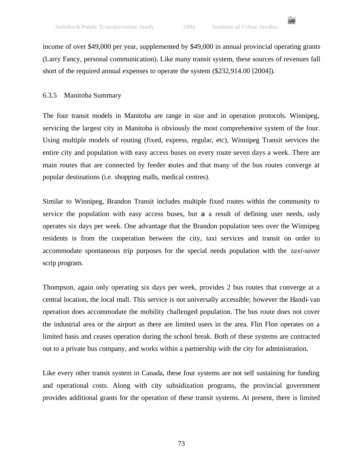

### 6.3.5 Manitoba Summary

The four transit models in Manitoba are range in size and in operation protocols. Winnipeg, servicing the largest city in Manitoba is obviously the most comprehensive system of the four. Using multiple models of routing (fixed, express, regular, etc), Winnipeg Transit services the entire city and population with easy access buses on every route seven days a week. There are main routes that are connected by feeder routes and that many of the bus routes converge at popular destinations (i.e. shopping malls, medical centres).

Similar to Winnipeg, Brandon Transit includes multiple fixed routes within the community to service the population with easy access buses, but as a result of defining user needs, only operates six days per week. One advantage that the Brandon population sees over the Winnipeg residents is from the cooperation between the city, taxi services and transit on order to accommodate spontaneous trip purposes for the special needs population with the *taxi-saver* scrip program.

Thompson, again only operating six days per week, provides 2 bus routes that converge at a central location, the local mall. This service is not universally accessible; however the Handi-van operation does accommodate the mobility challenged population. The bus route does not cover the industrial area or the airport as there are limited users in the area. Flin Flon operates on a limited basis and ceases operation during the school break. Both of these systems are contracted out to a private bus company, and works within a partnership with the city for administration.

Like every other transit system in Canada, these four systems are not self sustaining for funding and operational costs. Along with city subsidization programs, the provincial government provides additional grants for the operation of these transit systems. At present, there is limited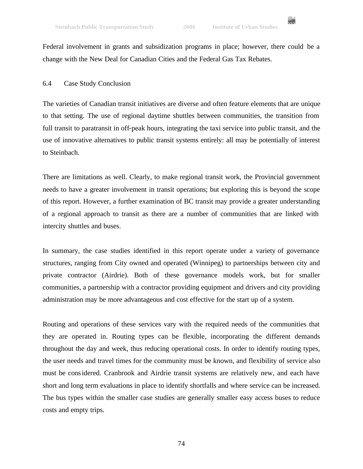Federal involvement in grants and subsidization programs in place; however, there could be a change with the New Deal for Canadian Cities and the Federal Gas Tax Rebates.

#### 6.4 Case Study Conclusion

The varieties of Canadian transit initiatives are diverse and often feature elements that are unique to that setting. The use of regional daytime shuttles between communities, the transition from full transit to paratransit in off-peak hours, integrating the taxi service into public transit, and the use of innovative alternatives to public transit systems entirely: all may be potentially of interest to Steinbach.

There are limitations as well. Clearly, to make regional transit work, the Provincial government needs to have a greater involvement in transit operations; but exploring this is beyond the scope of this report. However, a further examination of BC transit may provide a greater understanding of a regional approach to transit as there are a number of communities that are linked with intercity shuttles and buses.

In summary, the case studies identified in this report operate under a variety of governance structures, ranging from City owned and operated (Winnipeg) to partnerships between city and private contractor (Airdrie). Both of these governance models work, but for smaller communities, a partnership with a contractor providing equipment and drivers and city providing administration may be more advantageous and cost effective for the start up of a system.

Routing and operations of these services vary with the required needs of the communities that they are operated in. Routing types can be flexible, incorporating the different demands throughout the day and week, thus reducing operational costs. In order to identify routing types, the user needs and travel times for the community must be known, and flexibility of service also must be considered. Cranbrook and Airdrie transit systems are relatively new, and each have short and long term evaluations in place to identify shortfalls and where service can be increased. The bus types within the smaller case studies are generally smaller easy access buses to reduce costs and empty trips.

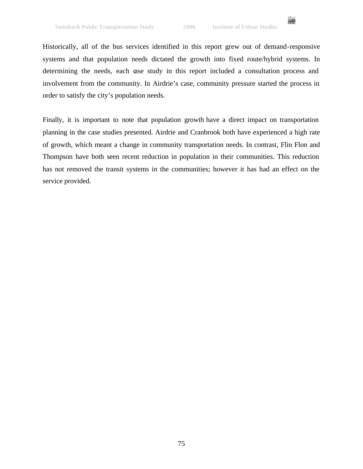

Historically, all of the bus services identified in this report grew out of demand-responsive systems and that population needs dictated the growth into fixed route/hybrid systems. In determining the needs, each case study in this report included a consultation process and involvement from the community. In Airdrie's case, community pressure started the process in order to satisfy the city's population needs.

Finally, it is important to note that population growth have a direct impact on transportation planning in the case studies presented. Airdrie and Cranbrook both have experienced a high rate of growth, which meant a change in community transportation needs. In contrast, Flin Flon and Thompson have both seen recent reduction in population in their communities. This reduction has not removed the transit systems in the communities; however it has had an effect on the service provided.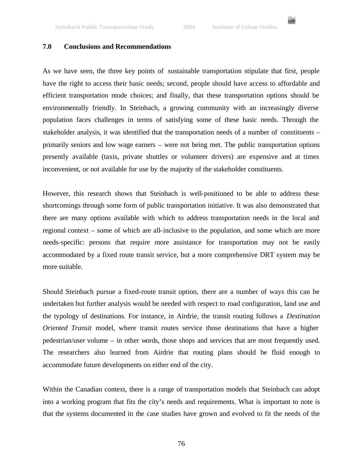49

### **7.0 Conclusions and Recommendations**

As we have seen, the three key points of sustainable transportation stipulate that first, people have the right to access their basic needs; second, people should have access to affordable and efficient transportation mode choices; and finally, that these transportation options should be environmentally friendly. In Steinbach, a growing community with an increasingly diverse population faces challenges in terms of satisfying some of these basic needs. Through the stakeholder analysis, it was identified that the transportation needs of a number of constituents – primarily seniors and low wage earners – were not being met. The public transportation options presently available (taxis, private shuttles or volunteer drivers) are expensive and at times inconvenient, or not available for use by the majority of the stakeholder constituents.

However, this research shows that Steinbach is well-positioned to be able to address these shortcomings through some form of public transportation initiative. It was also demonstrated that there are many options available with which to address transportation needs in the local and regional context – some of which are all-inclusive to the population, and some which are more needs-specific: persons that require more assistance for transportation may not be easily accommodated by a fixed route transit service, but a more comprehensive DRT system may be more suitable.

Should Steinbach pursue a fixed-route transit option, there are a number of ways this can be undertaken but further analysis would be needed with respect to road configuration, land use and the typology of destinations. For instance, in Airdrie, the transit routing follows a *Destination Oriented Transit* model, where transit routes service those destinations that have a higher pedestrian/user volume – in other words, those shops and services that are most frequently used. The researchers also learned from Airdrie that routing plans should be fluid enough to accommodate future developments on either end of the city.

Within the Canadian context, there is a range of transportation models that Steinbach can adopt into a working program that fits the city's needs and requirements. What is important to note is that the systems documented in the case studies have grown and evolved to fit the needs of the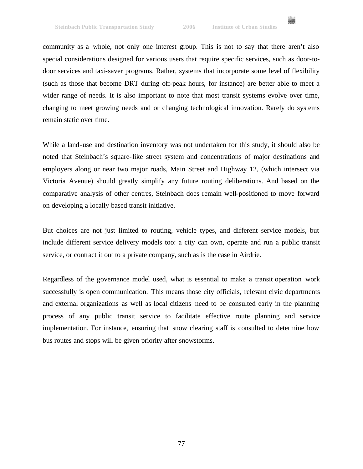

While a land-use and destination inventory was not undertaken for this study, it should also be noted that Steinbach's square-like street system and concentrations of major destinations and employers along or near two major roads, Main Street and Highway 12, (which intersect via Victoria Avenue) should greatly simplify any future routing deliberations. And based on the comparative analysis of other centres, Steinbach does remain well-positioned to move forward on developing a locally based transit initiative.

But choices are not just limited to routing, vehicle types, and different service models, but include different service delivery models too: a city can own, operate and run a public transit service, or contract it out to a private company, such as is the case in Airdrie.

Regardless of the governance model used, what is essential to make a transit operation work successfully is open communication. This means those city officials, relevant civic departments and external organizations as well as local citizens need to be consulted early in the planning process of any public transit service to facilitate effective route planning and service implementation. For instance, ensuring that snow clearing staff is consulted to determine how bus routes and stops will be given priority after snowstorms.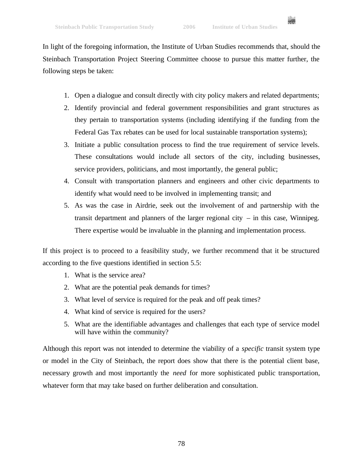

- 1. Open a dialogue and consult directly with city policy makers and related departments;
- 2. Identify provincial and federal government responsibilities and grant structures as they pertain to transportation systems (including identifying if the funding from the Federal Gas Tax rebates can be used for local sustainable transportation systems);
- 3. Initiate a public consultation process to find the true requirement of service levels. These consultations would include all sectors of the city, including businesses, service providers, politicians, and most importantly, the general public;
- 4. Consult with transportation planners and engineers and other civic departments to identify what would need to be involved in implementing transit; and
- 5. As was the case in Airdrie, seek out the involvement of and partnership with the transit department and planners of the larger regional city – in this case, Winnipeg. There expertise would be invaluable in the planning and implementation process.

If this project is to proceed to a feasibility study, we further recommend that it be structured according to the five questions identified in section 5.5:

- 1. What is the service area?
- 2. What are the potential peak demands for times?
- 3. What level of service is required for the peak and off peak times?
- 4. What kind of service is required for the users?
- 5. What are the identifiable advantages and challenges that each type of service model will have within the community?

Although this report was not intended to determine the viability of a *specific* transit system type or model in the City of Steinbach, the report does show that there is the potential client base, necessary growth and most importantly the *need* for more sophisticated public transportation, whatever form that may take based on further deliberation and consultation.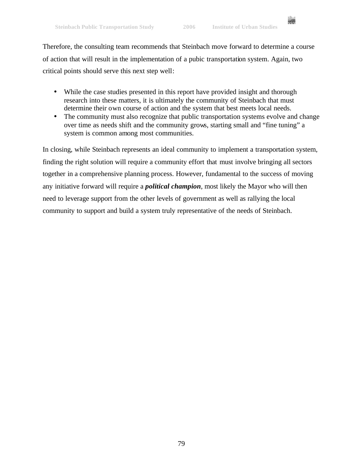

Therefore, the consulting team recommends that Steinbach move forward to determine a course of action that will result in the implementation of a pubic transportation system. Again, two critical points should serve this next step well:

- While the case studies presented in this report have provided insight and thorough research into these matters, it is ultimately the community of Steinbach that must determine their own course of action and the system that best meets local needs.
- The community must also recognize that public transportation systems evolve and change over time as needs shift and the community grows, starting small and "fine tuning" a system is common among most communities.

In closing, while Steinbach represents an ideal community to implement a transportation system, finding the right solution will require a community effort that must involve bringing all sectors together in a comprehensive planning process. However, fundamental to the success of moving any initiative forward will require a *political champion*, most likely the Mayor who will then need to leverage support from the other levels of government as well as rallying the local community to support and build a system truly representative of the needs of Steinbach.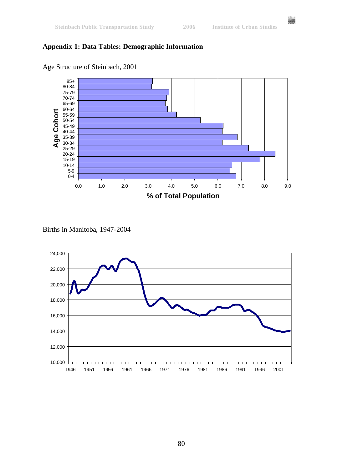in 1989.<br>Ngjarje

# **Appendix 1: Data Tables: Demographic Information**



Age Structure of Steinbach, 2001

Births in Manitoba, 1947-2004

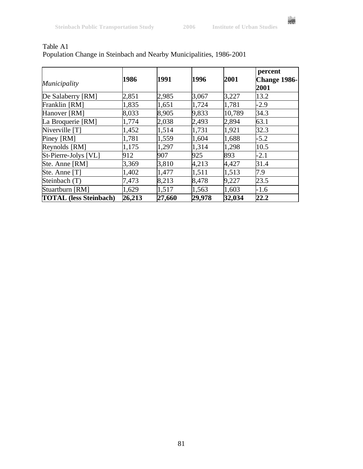

| Municipality                  | 1986   | 1991   | 1996   | 2001   | percent<br><b>Change 1986-</b><br>2001 |
|-------------------------------|--------|--------|--------|--------|----------------------------------------|
| De Salaberry [RM]             | 2,851  | 2,985  | 3,067  | 3,227  | 13.2                                   |
| Franklin [RM]                 | 1,835  | 1,651  | 1,724  | 1,781  | $-2.9$                                 |
| Hanover [RM]                  | 8,033  | 8,905  | 9,833  | 10,789 | 34.3                                   |
| La Broquerie [RM]             | 1,774  | 2,038  | 2,493  | 2,894  | 63.1                                   |
| Niverville [T]                | 1,452  | 1,514  | 1,731  | 1,921  | 32.3                                   |
| Piney [RM]                    | 1,781  | 1,559  | 1,604  | 1,688  | $-5.2$                                 |
| Reynolds [RM]                 | 1,175  | 1,297  | 1,314  | 1,298  | 10.5                                   |
| St-Pierre-Jolys [VL]          | 912    | 907    | 925    | 893    | $-2.1$                                 |
| Ste. Anne [RM]                | 3,369  | 3,810  | 4,213  | 4,427  | 31.4                                   |
| Ste. Anne [T]                 | 1,402  | 1,477  | 1,511  | 1,513  | 7.9                                    |
| Steinbach (T)                 | 7,473  | 8,213  | 8,478  | 9,227  | 23.5                                   |
| Stuartburn [RM]               | 1,629  | 1,517  | 1,563  | 1,603  | $-1.6$                                 |
| <b>TOTAL</b> (less Steinbach) | 26,213 | 27,660 | 29,978 | 32,034 | 22.2                                   |

## Table A1 Population Change in Steinbach and Nearby Municipalities, 1986-2001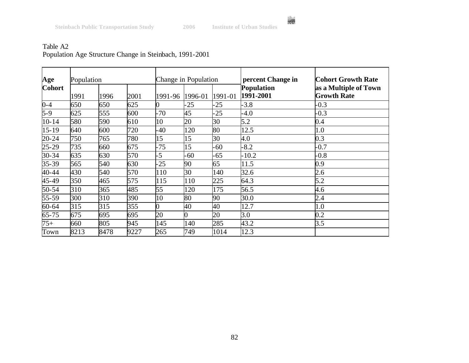縅

## Table A2 Population Age Structure Change in Steinbach, 1991-2001

| Age           | Population |      |      |         | Change in Population |         | percent Change in       | <b>Cohort Growth Rate</b>                   |
|---------------|------------|------|------|---------|----------------------|---------|-------------------------|---------------------------------------------|
| <b>Cohort</b> | 1991       | 1996 | 2001 | 1991-96 | 1996-01              | 1991-01 | Population<br>1991-2001 | as a Multiple of Town<br><b>Growth Rate</b> |
| $0 - 4$       | 650        | 650  | 625  | 0       | $-25$                | $-25$   | $-3.8$                  | $-0.3$                                      |
| $5-9$         | 625        | 555  | 600  | $-70$   | 45                   | $-25$   | $-4.0$                  | $-0.3$                                      |
| $10 - 14$     | 580        | 590  | 610  | 10      | 20                   | 30      | 5.2                     | 0.4                                         |
| 15-19         | 640        | 600  | 720  | $-40$   | 120                  | 80      | 12.5                    | 1.0                                         |
| $20 - 24$     | 750        | 765  | 780  | 15      | 15                   | 30      | 4.0                     | 0.3                                         |
| $25 - 29$     | 735        | 660  | 675  | $-75$   | 15                   | $-60$   | $-8.2$                  | $-0.7$                                      |
| $30 - 34$     | 635        | 630  | 570  | $-5$    | $-60$                | -65     | $-10.2$                 | $-0.8$                                      |
| 35-39         | 565        | 540  | 630  | $-25$   | 90                   | 65      | 11.5                    | 0.9                                         |
| 40-44         | 430        | 540  | 570  | 110     | 30                   | 140     | 32.6                    | 2.6                                         |
| 45-49         | 350        | 465  | 575  | 115     | 110                  | 225     | 64.3                    | 5.2                                         |
| 50-54         | 310        | 365  | 485  | 55      | 120                  | 175     | 56.5                    | 4.6                                         |
| 55-59         | 300        | 310  | 390  | 10      | 80                   | 90      | 30.0                    | 2.4                                         |
| $60 - 64$     | 315        | 315  | 355  | 0       | 40                   | 40      | 12.7                    | 1.0                                         |
| $65 - 75$     | 675        | 695  | 695  | 20      |                      | 20      | 3.0                     | 0.2                                         |
| $75+$         | 660        | 805  | 945  | 145     | 140                  | 285     | 43.2                    | 3.5                                         |
| Town          | 8213       | 8478 | 9227 | 265     | 749                  | 1014    | 12.3                    |                                             |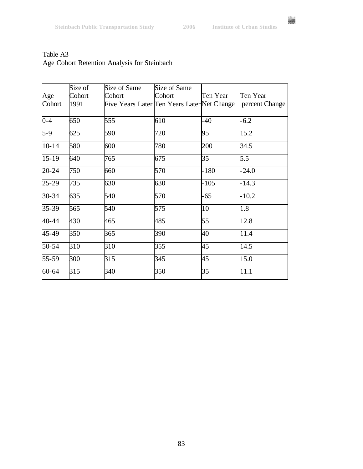# Table A3 Age Cohort Retention Analysis for Steinbach

|           | Size of | Size of Same                                | Size of Same |          |                |
|-----------|---------|---------------------------------------------|--------------|----------|----------------|
| Age       | Cohort  | Cohort                                      | Cohort       | Ten Year | Ten Year       |
| Cohort    | 1991    | Five Years Later Ten Years Later Net Change |              |          | percent Change |
| $0 - 4$   | 650     | 555                                         | 610          | $-40$    | $-6.2$         |
| $5-9$     | 625     | 590                                         | 720          | 95       | 15.2           |
| $10 - 14$ | 580     | 600                                         | 780          | 200      | 34.5           |
| $15 - 19$ | 640     | 765                                         | 675          | 35       | 5.5            |
| $20 - 24$ | 750     | 660                                         | 570          | $-180$   | $-24.0$        |
| $25 - 29$ | 735     | 630                                         | 630          | $-105$   | $-14.3$        |
| 30-34     | 635     | 540                                         | 570          | $-65$    | $-10.2$        |
| $35 - 39$ | 565     | 540                                         | 575          | 10       | 1.8            |
| 40-44     | 430     | 465                                         | 485          | 55       | 12.8           |
| 45-49     | 350     | 365                                         | 390          | 40       | 11.4           |
| $50 - 54$ | 310     | 310                                         | 355          | 45       | 14.5           |
| $55 - 59$ | 300     | 315                                         | 345          | 45       | 15.0           |
| 60-64     | 315     | 340                                         | 350          | 35       | 11.1           |

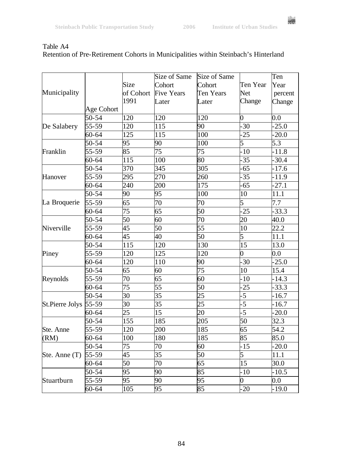|                        |            |                  | Size of Same      | Size of Same |                  | Ten     |
|------------------------|------------|------------------|-------------------|--------------|------------------|---------|
|                        |            | Size             | Cohort            | Cohort       | Ten Year         | Year    |
| Municipality           |            | of Cohort        | <b>Five Years</b> | Ten Years    | Net              | percent |
|                        |            | 1991             | Later             | Later        | Change           | Change  |
|                        | Age Cohort |                  |                   |              |                  |         |
|                        | 50-54      | 120              | 120               | 120          | $\overline{0}$   | 0.0     |
| De Salabery            | $55 - 59$  | 120              | 115               | 90           | $-30$            | $-25.0$ |
|                        | $60 - 64$  | 125              | 115               | 100          | $-25$            | $-20.0$ |
|                        | 50-54      | 95               | 90                | 100          | 5                | 5.3     |
| Franklin               | 55-59      | 85               | 75                | 75           | $-10$            | $-11.8$ |
|                        | $60 - 64$  | 115              | 100               | 80           | $-35$            | $-30.4$ |
|                        | 50-54      | 370              | 345               | 305          | $-65$            | $-17.6$ |
| Hanover                | 55-59      | 295              | 270               | 260          | $-35$            | $-11.9$ |
|                        | $60 - 64$  | 240              | 200               | 175          | $-65$            | $-27.1$ |
|                        | 50-54      | 90               | 95                | 100          | 10               | 11.1    |
| La Broquerie           | 55-59      | 65               | 70                | 70           | 5                | 7.7     |
|                        | $60 - 64$  | 75               | 65                | 50           | $-25$            | $-33.3$ |
|                        | 50-54      | 50               | 60                | 70           | 20               | 40.0    |
| Niverville             | 55-59      | 45               | 50                | 55           | 10               | 22.2    |
|                        | $60 - 64$  | 45               | 40                | 50           | 5                | 11.1    |
|                        | 50-54      | 115              | 120               | 130          | 15               | 13.0    |
| Piney                  | 55-59      | 120              | 125               | 120          | 0                | $0.0\,$ |
|                        | $60 - 64$  | 120              | 110               | 90           | $-30$            | $-25.0$ |
|                        | 50-54      | 65               | 60                | 75           | 10               | 15.4    |
| Reynolds               | 55-59      | 70               | 65                | 60           | $-10$            | $-14.3$ |
|                        | $60 - 64$  | 75               | 55                | 50           | $-25$            | $-33.3$ |
|                        | 50-54      | 30               | 35                | 25           | $-5$             | $-16.7$ |
| <b>St.Pierre Jolys</b> | $55 - 59$  | 30               | 35                | 25           | $\overline{-5}$  | $-16.7$ |
|                        | $60 - 64$  | 25               | 15                | 20           | $-5$             | $-20.0$ |
|                        | 50-54      | 155              | 185               | 205          | 50               | 32.3    |
| Ste. Anne              | 55-59      | 120              | 200               | 185          | 65               | 54.2    |
| (RM)                   | $60 - 64$  | $\overline{100}$ | 180               | 185          | 85               | 85.0    |
| Ste. Anne (T)          | 50-54      | 75               | 70                | 60           | $-15$            | -20.0   |
|                        | $55 - 59$  | 45               | 35                | 50           | 5                | 11.1    |
|                        | 60-64      | 50               | 70                | 65           | 15               | 30.0    |
|                        | 50-54      | 95               | 90                | 85           | $-10$            | $-10.5$ |
| Stuartburn             | 55-59      | 95               | 90                | 95           | $\boldsymbol{0}$ | $0.0\,$ |
|                        | 60-64      | 105              | 95                | 85           | $-20$            | $-19.0$ |

## Table A4 Retention of Pre-Retirement Cohorts in Municipalities within Steinbach's Hinterland

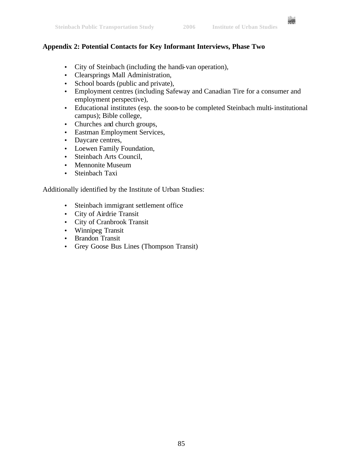sings.

### **Appendix 2: Potential Contacts for Key Informant Interviews, Phase Two**

- City of Steinbach (including the handi-van operation),
- Clearsprings Mall Administration,
- School boards (public and private),
- Employment centres (including Safeway and Canadian Tire for a consumer and employment perspective),
- Educational institutes (esp. the soon-to be completed Steinbach multi-institutional campus); Bible college,
- Churches and church groups,
- Eastman Employment Services,
- Daycare centres,
- Loewen Family Foundation,
- Steinbach Arts Council,
- Mennonite Museum
- Steinbach Taxi

Additionally identified by the Institute of Urban Studies:

- Steinbach immigrant settlement office
- City of Airdrie Transit
- City of Cranbrook Transit
- Winnipeg Transit
- Brandon Transit
- Grey Goose Bus Lines (Thompson Transit)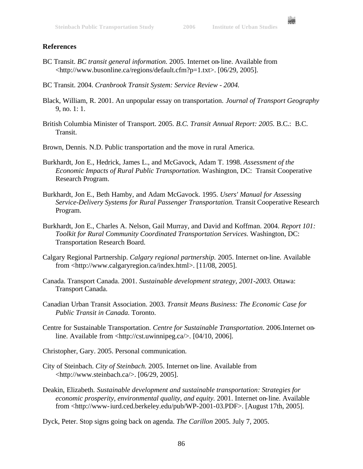

### **References**

- BC Transit. *BC transit general information.* 2005. Internet on-line. Available from <http://www.busonline.ca/regions/default.cfm?p=1.txt>. [06/29, 2005].
- BC Transit. 2004. *Cranbrook Transit System: Service Review 2004.*
- Black, William, R. 2001. An unpopular essay on transportation. *Journal of Transport Geography*  9, no. 1: 1.
- British Columbia Minister of Transport. 2005. *B.C. Transit Annual Report: 2005.* B.C.: B.C. Transit.
- Brown, Dennis. N.D. Public transportation and the move in rural America.
- Burkhardt, Jon E., Hedrick, James L., and McGavock, Adam T. 1998. *Assessment of the Economic Impacts of Rural Public Transportation.* Washington, DC: Transit Cooperative Research Program.
- Burkhardt, Jon E., Beth Hamby, and Adam McGavock. 1995. *Users' Manual for Assessing Service-Delivery Systems for Rural Passenger Transportation.* Transit Cooperative Research Program.
- Burkhardt, Jon E., Charles A. Nelson, Gail Murray, and David and Koffman. 2004. *Report 101: Toolkit for Rural Community Coordinated Transportation Services.* Washington, DC: Transportation Research Board.
- Calgary Regional Partnership. *Calgary regional partnership.* 2005. Internet on-line. Available from <http://www.calgaryregion.ca/index.html>. [11/08, 2005].
- Canada. Transport Canada. 2001. *Sustainable development strategy, 2001-2003.* Ottawa: Transport Canada.
- Canadian Urban Transit Association. 2003. *Transit Means Business: The Economic Case for Public Transit in Canada.* Toronto.
- Centre for Sustainable Transportation. *Centre for Sustainable Transportation*. 2006.Internet online. Available from <http://cst.uwinnipeg.ca/>. [04/10, 2006].
- Christopher, Gary. 2005. Personal communication.
- City of Steinbach. *City of Steinbach.* 2005. Internet on-line. Available from <http://www.steinbach.ca/>. [06/29, 2005].
- Deakin, Elizabeth. *Sustainable development and sustainable transportation: Strategies for economic prosperity, environmental quality, and equity.* 2001. Internet on-line. Available from <http://www-iurd.ced.berkeley.edu/pub/WP-2001-03.PDF>. [August 17th, 2005].

Dyck, Peter. Stop signs going back on agenda. *The Carillon* 2005. July 7, 2005.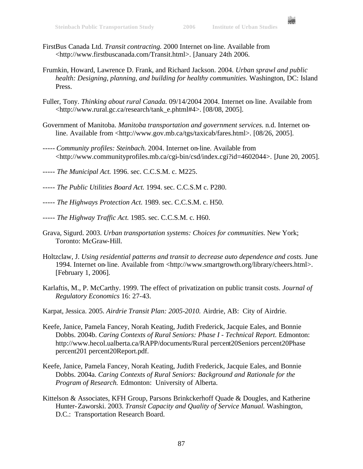and in

- FirstBus Canada Ltd. *Transit contracting.* 2000 Internet on-line. Available from <http://www.firstbuscanada.com/Transit.html>. [January 24th 2006.
- Frumkin, Howard, Lawrence D. Frank, and Richard Jackson. 2004. *Urban sprawl and public health: Designing, planning, and building for healthy communities.* Washington, DC: Island Press.
- Fuller, Tony. *Thinking about rural Canada.* 09/14/2004 2004. Internet on-line. Available from <http://www.rural.gc.ca/research/tank\_e.phtml#4>. [08/08, 2005].
- Government of Manitoba. *Manitoba transportation and government services.* n.d. Internet online. Available from <http://www.gov.mb.ca/tgs/taxicab/fares.html>. [08/26, 2005].
- ----- *Community profiles: Steinbach.* 2004. Internet on-line. Available from <http://www.communityprofiles.mb.ca/cgi-bin/csd/index.cgi?id=4602044>. [June 20, 2005].
- ----- *The Municipal Act.* 1996. sec. C.C.S.M. c. M225.
- ----- *The Public Utilities Board Act.* 1994. sec. C.C.S.M c. P280.
- ----- *The Highways Protection Act.* 1989. sec. C.C.S.M. c. H50.
- ----- *The Highway Traffic Act.* 1985. sec. C.C.S.M. c. H60.
- Grava, Sigurd. 2003. *Urban transportation systems: Choices for communities.* New York; Toronto: McGraw-Hill.
- Holtzclaw, J. *Using residential patterns and transit to decrease auto dependence and costs.* June 1994. Internet on-line. Available from <http://www.smartgrowth.org/library/cheers.html>. [February 1, 2006].
- Karlaftis, M., P. McCarthy. 1999. The effect of privatization on public transit costs. *Journal of Regulatory Economics* 16: 27-43.
- Karpat, Jessica. 2005. *Airdrie Transit Plan: 2005-2010.* Airdrie, AB: City of Airdrie.
- Keefe, Janice, Pamela Fancey, Norah Keating, Judith Frederick, Jacquie Eales, and Bonnie Dobbs. 2004b. *Caring Contexts of Rural Seniors: Phase I - Technical Report. Edmonton:* http://www.hecol.ualberta.ca/RAPP/documents/Rural percent20Seniors percent20Phase percent201 percent20Report.pdf.
- Keefe, Janice, Pamela Fancey, Norah Keating, Judith Frederick, Jacquie Eales, and Bonnie Dobbs. 2004a. *Caring Contexts of Rural Seniors: Background and Rationale for the Program of Research.* Edmonton: University of Alberta.
- Kittelson & Associates, KFH Group, Parsons Brinkckerhoff Quade & Dougles, and Katherine Hunter-Zaworski. 2003. *Transit Capacity and Quality of Service Manual.* Washington, D.C.: Transportation Research Board.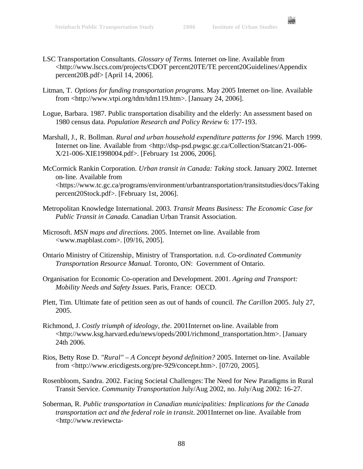

- LSC Transportation Consultants. *Glossary of Terms*. Internet on-line. Available from <http://www.lsccs.com/projects/CDOT percent20TE/TE percent20Guidelines/Appendix percent20B.pdf> [April 14, 2006].
- Litman, T. *Options for funding transportation programs.* May 2005 Internet on-line. Available from <http://www.vtpi.org/tdm/tdm119.htm>. [January 24, 2006].
- Logue, Barbara. 1987. Public transportation disability and the elderly: An assessment based on 1980 census data. *Population Research and Policy Review* 6: 177-193.
- Marshall, J., R. Bollman. *Rural and urban household expenditure patterns for 1996.* March 1999. Internet on-line. Available from <http://dsp-psd.pwgsc.gc.ca/Collection/Statcan/21-006-X/21-006-XIE1998004.pdf>. [February 1st 2006, 2006].
- McCormick Rankin Corporation. *Urban transit in Canada: Taking stock.* January 2002. Internet on-line. Available from <https://www.tc.gc.ca/programs/environment/urbantransportation/transitstudies/docs/Taking percent20Stock.pdf>. [February 1st, 2006].
- Metropolitan Knowledge International. 2003. *Transit Means Business: The Economic Case for Public Transit in Canada.* Canadian Urban Transit Association.
- Microsoft. *MSN maps and directions.* 2005. Internet on-line. Available from <www.mapblast.com>. [09/16, 2005].
- Ontario Ministry of Citizenship, Ministry of Transportation. n.d. *Co-ordinated Community Transportation Resource Manual.* Toronto, ON: Government of Ontario.
- Organisation for Economic Co-operation and Development. 2001. *Ageing and Transport: Mobility Needs and Safety Issues.* Paris, France: OECD.
- Plett, Tim. Ultimate fate of petition seen as out of hands of council. *The Carillon* 2005. July 27, 2005.
- Richmond, J. *Costly triumph of ideology, the.* 2001Internet on-line. Available from <http://www.ksg.harvard.edu/news/opeds/2001/richmond\_transportation.htm>. [January 24th 2006.
- Rios, Betty Rose D. *"Rural" A Concept beyond definition?* 2005. Internet on-line. Available from <http://www.ericdigests.org/pre-929/concept.htm>. [07/20, 2005].
- Rosenbloom, Sandra. 2002. Facing Societal Challenges: The Need for New Paradigms in Rural Transit Service. *Community Transportation* July/Aug 2002, no. July/Aug 2002: 16-27.
- Soberman, R. *Public transportation in Canadian municipalities: Implications for the Canada transportation act and the federal role in transit.* 2001Internet on-line. Available from <http://www.reviewcta-